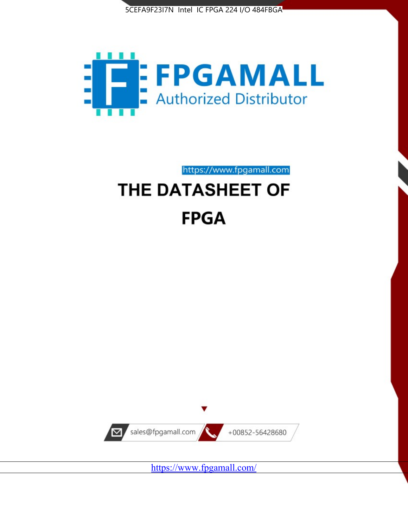



https://www.fpgamall.com

# THE DATASHEET OF **FPGA**



<https://www.fpgamall.com/>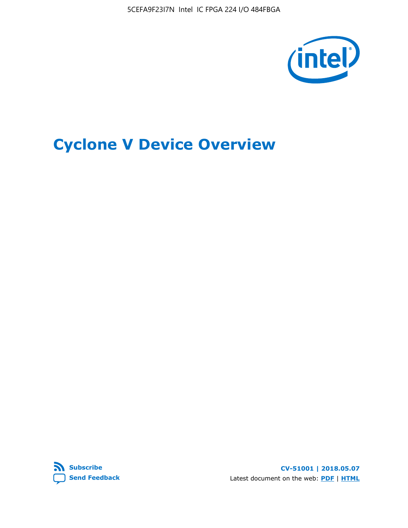

# **Cyclone V Device Overview**



**CV-51001 | 2018.05.07** Latest document on the web: **[PDF](https://www.altera.com/en_US/pdfs/literature/hb/cyclone-v/cv_51001.pdf)** | **[HTML](https://www.altera.com/documentation/sam1403480548153.html)**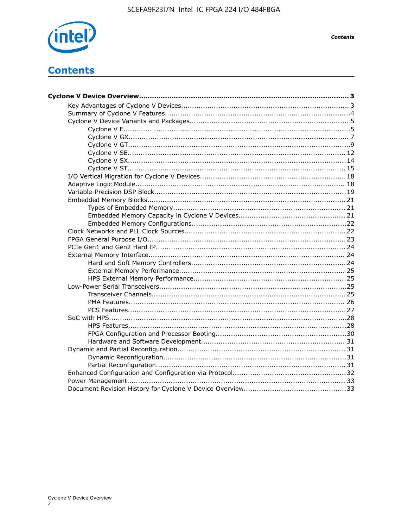

**Contents** 

# **Contents**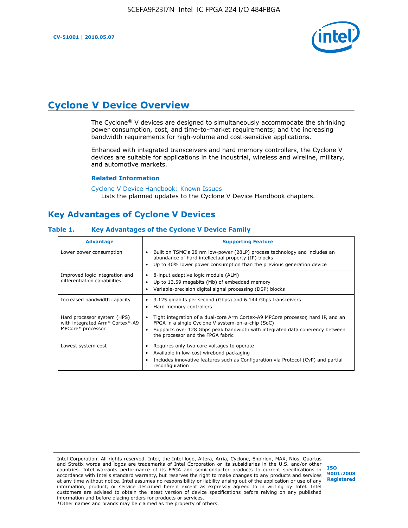

# **Cyclone V Device Overview**

The Cyclone® V devices are designed to simultaneously accommodate the shrinking power consumption, cost, and time-to-market requirements; and the increasing bandwidth requirements for high-volume and cost-sensitive applications.

Enhanced with integrated transceivers and hard memory controllers, the Cyclone V devices are suitable for applications in the industrial, wireless and wireline, military, and automotive markets.

#### **Related Information**

[Cyclone V Device Handbook: Known Issues](https://www.altera.com/support/support-resources/knowledge-base/solutions/rd12152011_347.html) Lists the planned updates to the Cyclone V Device Handbook chapters.

# **Key Advantages of Cyclone V Devices**

#### **Table 1. Key Advantages of the Cyclone V Device Family**

| <b>Advantage</b>                                                                    | <b>Supporting Feature</b>                                                                                                                                                                                                                                                    |
|-------------------------------------------------------------------------------------|------------------------------------------------------------------------------------------------------------------------------------------------------------------------------------------------------------------------------------------------------------------------------|
| Lower power consumption                                                             | Built on TSMC's 28 nm low-power (28LP) process technology and includes an<br>$\bullet$<br>abundance of hard intellectual property (IP) blocks<br>Up to 40% lower power consumption than the previous generation device                                                       |
| Improved logic integration and<br>differentiation capabilities                      | 8-input adaptive logic module (ALM)<br>٠<br>Up to 13.59 megabits (Mb) of embedded memory<br>٠<br>Variable-precision digital signal processing (DSP) blocks                                                                                                                   |
| Increased bandwidth capacity                                                        | 3.125 gigabits per second (Gbps) and 6.144 Gbps transceivers<br>٠<br>Hard memory controllers<br>٠                                                                                                                                                                            |
| Hard processor system (HPS)<br>with integrated Arm* Cortex*-A9<br>MPCore* processor | Tight integration of a dual-core Arm Cortex-A9 MPCore processor, hard IP, and an<br>$\bullet$<br>FPGA in a single Cyclone V system-on-a-chip (SoC)<br>Supports over 128 Gbps peak bandwidth with integrated data coherency between<br>٠<br>the processor and the FPGA fabric |
| Lowest system cost                                                                  | Requires only two core voltages to operate<br>٠<br>Available in low-cost wirebond packaging<br>٠<br>Includes innovative features such as Configuration via Protocol (CvP) and partial<br>٠<br>reconfiguration                                                                |

Intel Corporation. All rights reserved. Intel, the Intel logo, Altera, Arria, Cyclone, Enpirion, MAX, Nios, Quartus and Stratix words and logos are trademarks of Intel Corporation or its subsidiaries in the U.S. and/or other countries. Intel warrants performance of its FPGA and semiconductor products to current specifications in accordance with Intel's standard warranty, but reserves the right to make changes to any products and services at any time without notice. Intel assumes no responsibility or liability arising out of the application or use of any information, product, or service described herein except as expressly agreed to in writing by Intel. Intel customers are advised to obtain the latest version of device specifications before relying on any published information and before placing orders for products or services. \*Other names and brands may be claimed as the property of others.

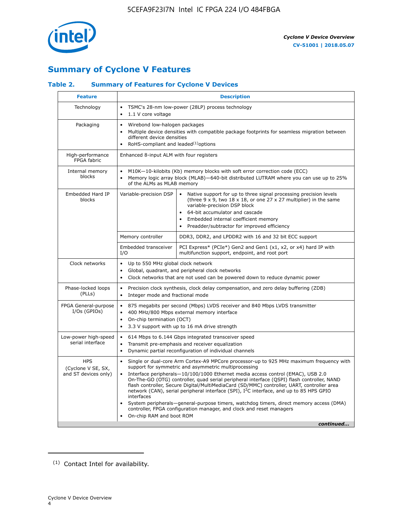

# **Summary of Cyclone V Features**

## **Table 2. Summary of Features for Cyclone V Devices**

| <b>Feature</b>                                           | <b>Description</b>                                                                                                                                                                                                                                                                                                                               |                                                                                                                                                                                                                                                                                                                                                                                                                                                                                                                                                                                                                                                                                                         |  |  |  |  |  |  |
|----------------------------------------------------------|--------------------------------------------------------------------------------------------------------------------------------------------------------------------------------------------------------------------------------------------------------------------------------------------------------------------------------------------------|---------------------------------------------------------------------------------------------------------------------------------------------------------------------------------------------------------------------------------------------------------------------------------------------------------------------------------------------------------------------------------------------------------------------------------------------------------------------------------------------------------------------------------------------------------------------------------------------------------------------------------------------------------------------------------------------------------|--|--|--|--|--|--|
| Technology                                               | TSMC's 28-nm low-power (28LP) process technology<br>$\bullet$<br>1.1 V core voltage                                                                                                                                                                                                                                                              |                                                                                                                                                                                                                                                                                                                                                                                                                                                                                                                                                                                                                                                                                                         |  |  |  |  |  |  |
| Packaging                                                | $\bullet$                                                                                                                                                                                                                                                                                                                                        | Wirebond low-halogen packages<br>Multiple device densities with compatible package footprints for seamless migration between<br>different device densities<br>RoHS-compliant and leaded $(1)$ options                                                                                                                                                                                                                                                                                                                                                                                                                                                                                                   |  |  |  |  |  |  |
| High-performance<br>FPGA fabric                          | Enhanced 8-input ALM with four registers                                                                                                                                                                                                                                                                                                         |                                                                                                                                                                                                                                                                                                                                                                                                                                                                                                                                                                                                                                                                                                         |  |  |  |  |  |  |
| Internal memory<br>blocks                                | of the ALMs as MLAB memory                                                                                                                                                                                                                                                                                                                       | M10K-10-kilobits (Kb) memory blocks with soft error correction code (ECC)<br>Memory logic array block (MLAB)-640-bit distributed LUTRAM where you can use up to 25%                                                                                                                                                                                                                                                                                                                                                                                                                                                                                                                                     |  |  |  |  |  |  |
| Embedded Hard IP<br>blocks                               | Variable-precision DSP<br>Native support for up to three signal processing precision levels<br>(three $9 \times 9$ , two $18 \times 18$ , or one $27 \times 27$ multiplier) in the same<br>variable-precision DSP block<br>64-bit accumulator and cascade<br>Embedded internal coefficient memory<br>Preadder/subtractor for improved efficiency |                                                                                                                                                                                                                                                                                                                                                                                                                                                                                                                                                                                                                                                                                                         |  |  |  |  |  |  |
|                                                          | Memory controller                                                                                                                                                                                                                                                                                                                                | DDR3, DDR2, and LPDDR2 with 16 and 32 bit ECC support                                                                                                                                                                                                                                                                                                                                                                                                                                                                                                                                                                                                                                                   |  |  |  |  |  |  |
|                                                          | Embedded transceiver<br>I/O                                                                                                                                                                                                                                                                                                                      | PCI Express* (PCIe*) Gen2 and Gen1 (x1, x2, or x4) hard IP with<br>multifunction support, endpoint, and root port                                                                                                                                                                                                                                                                                                                                                                                                                                                                                                                                                                                       |  |  |  |  |  |  |
| Clock networks                                           | Up to 550 MHz global clock network<br>$\bullet$<br>$\bullet$<br>$\bullet$                                                                                                                                                                                                                                                                        | Global, quadrant, and peripheral clock networks<br>Clock networks that are not used can be powered down to reduce dynamic power                                                                                                                                                                                                                                                                                                                                                                                                                                                                                                                                                                         |  |  |  |  |  |  |
| Phase-locked loops<br>(PLLs)                             | $\bullet$<br>Integer mode and fractional mode<br>$\bullet$                                                                                                                                                                                                                                                                                       | Precision clock synthesis, clock delay compensation, and zero delay buffering (ZDB)                                                                                                                                                                                                                                                                                                                                                                                                                                                                                                                                                                                                                     |  |  |  |  |  |  |
| FPGA General-purpose<br>$I/Os$ (GPIOs)                   | $\bullet$<br>$\bullet$<br>On-chip termination (OCT)<br>$\bullet$                                                                                                                                                                                                                                                                                 | 875 megabits per second (Mbps) LVDS receiver and 840 Mbps LVDS transmitter<br>400 MHz/800 Mbps external memory interface<br>3.3 V support with up to 16 mA drive strength                                                                                                                                                                                                                                                                                                                                                                                                                                                                                                                               |  |  |  |  |  |  |
| Low-power high-speed<br>serial interface                 | $\bullet$<br>$\bullet$<br>$\bullet$                                                                                                                                                                                                                                                                                                              | 614 Mbps to 6.144 Gbps integrated transceiver speed<br>Transmit pre-emphasis and receiver equalization<br>Dynamic partial reconfiguration of individual channels                                                                                                                                                                                                                                                                                                                                                                                                                                                                                                                                        |  |  |  |  |  |  |
| <b>HPS</b><br>(Cyclone V SE, SX,<br>and ST devices only) | $\bullet$<br>$\bullet$<br>interfaces<br>On-chip RAM and boot ROM                                                                                                                                                                                                                                                                                 | Single or dual-core Arm Cortex-A9 MPCore processor-up to 925 MHz maximum frequency with<br>support for symmetric and asymmetric multiprocessing<br>Interface peripherals-10/100/1000 Ethernet media access control (EMAC), USB 2.0<br>On-The-GO (OTG) controller, quad serial peripheral interface (QSPI) flash controller, NAND<br>flash controller, Secure Digital/MultiMediaCard (SD/MMC) controller, UART, controller area<br>network (CAN), serial peripheral interface (SPI), I <sup>2</sup> C interface, and up to 85 HPS GPIO<br>System peripherals—general-purpose timers, watchdog timers, direct memory access (DMA)<br>controller, FPGA configuration manager, and clock and reset managers |  |  |  |  |  |  |
|                                                          |                                                                                                                                                                                                                                                                                                                                                  | continued                                                                                                                                                                                                                                                                                                                                                                                                                                                                                                                                                                                                                                                                                               |  |  |  |  |  |  |

<sup>(1)</sup> Contact Intel for availability.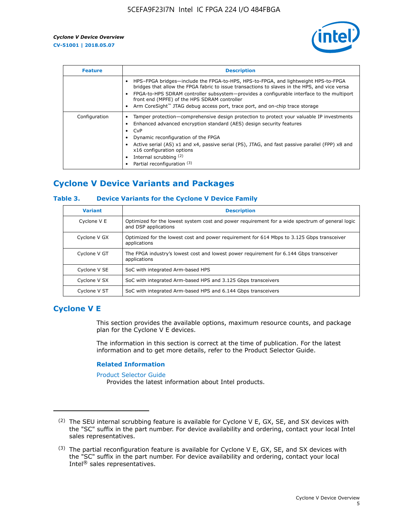

| <b>Feature</b> | <b>Description</b>                                                                                                                                                                                                                                                                                                                                                                                                    |
|----------------|-----------------------------------------------------------------------------------------------------------------------------------------------------------------------------------------------------------------------------------------------------------------------------------------------------------------------------------------------------------------------------------------------------------------------|
|                | HPS-FPGA bridges—include the FPGA-to-HPS, HPS-to-FPGA, and lightweight HPS-to-FPGA<br>bridges that allow the FPGA fabric to issue transactions to slaves in the HPS, and vice versa<br>FPGA-to-HPS SDRAM controller subsystem-provides a configurable interface to the multiport<br>front end (MPFE) of the HPS SDRAM controller<br>Arm CoreSight™ JTAG debug access port, trace port, and on-chip trace storage      |
| Configuration  | Tamper protection—comprehensive design protection to protect your valuable IP investments<br>Enhanced advanced encryption standard (AES) design security features<br>CvP<br>$\bullet$<br>Dynamic reconfiguration of the FPGA<br>Active serial (AS) x1 and x4, passive serial (PS), JTAG, and fast passive parallel (FPP) x8 and<br>x16 configuration options<br>Internal scrubbing (2)<br>Partial reconfiguration (3) |

# **Cyclone V Device Variants and Packages**

## **Table 3. Device Variants for the Cyclone V Device Family**

| <b>Variant</b> | <b>Description</b>                                                                                                      |
|----------------|-------------------------------------------------------------------------------------------------------------------------|
| Cyclone V E    | Optimized for the lowest system cost and power requirement for a wide spectrum of general logic<br>and DSP applications |
| Cyclone V GX   | Optimized for the lowest cost and power requirement for 614 Mbps to 3.125 Gbps transceiver<br>applications              |
| Cyclone V GT   | The FPGA industry's lowest cost and lowest power requirement for 6.144 Gbps transceiver<br>applications                 |
| Cyclone V SE   | SoC with integrated Arm-based HPS                                                                                       |
| Cyclone V SX   | SoC with integrated Arm-based HPS and 3.125 Gbps transceivers                                                           |
| Cyclone V ST   | SoC with integrated Arm-based HPS and 6.144 Gbps transceivers                                                           |

# **Cyclone V E**

This section provides the available options, maximum resource counts, and package plan for the Cyclone V E devices.

The information in this section is correct at the time of publication. For the latest information and to get more details, refer to the Product Selector Guide.

#### **Related Information**

[Product Selector Guide](https://www.altera.com/products/product-selector-guide.html)

Provides the latest information about Intel products.

<sup>(2)</sup> The SEU internal scrubbing feature is available for Cyclone V E, GX, SE, and SX devices with the "SC" suffix in the part number. For device availability and ordering, contact your local Intel sales representatives.

 $(3)$  The partial reconfiguration feature is available for Cyclone V E, GX, SE, and SX devices with the "SC" suffix in the part number. For device availability and ordering, contact your local Intel® sales representatives.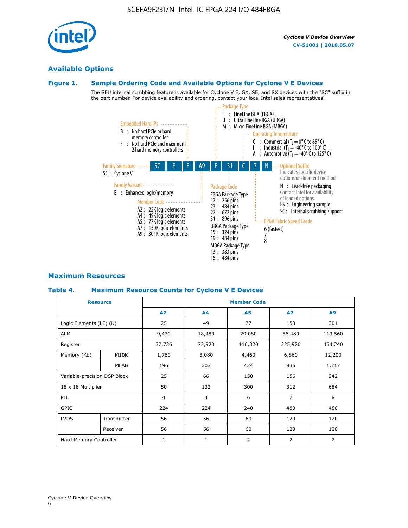# **Available Options**

## **Figure 1. Sample Ordering Code and Available Options for Cyclone V E Devices**

The SEU internal scrubbing feature is available for Cyclone V E, GX, SE, and SX devices with the "SC" suffix in the part number. For device availability and ordering, contact your local Intel sales representatives.



# **Maximum Resources**

## **Table 4. Maximum Resource Counts for Cyclone V E Devices**

|                              | <b>Resource</b> | <b>Member Code</b>       |                |                |                |         |  |
|------------------------------|-----------------|--------------------------|----------------|----------------|----------------|---------|--|
|                              |                 | A2                       | A4             | <b>A5</b>      | <b>A7</b>      | A9      |  |
| Logic Elements (LE) (K)      |                 | 25                       | 49             | 77             | 150            | 301     |  |
| <b>ALM</b>                   |                 | 9,430                    | 18,480         | 29,080         | 56,480         | 113,560 |  |
| Register                     |                 | 37,736                   | 73,920         | 116,320        | 225,920        | 454,240 |  |
| Memory (Kb)                  | M10K            | 1,760                    | 3,080          | 4,460          | 6,860          | 12,200  |  |
|                              | <b>MLAB</b>     | 196                      | 303            | 424            | 836            | 1,717   |  |
| Variable-precision DSP Block |                 | 25                       | 66             | 150            | 156            | 342     |  |
| 18 x 18 Multiplier           |                 | 50                       | 132            | 300            | 312            | 684     |  |
| <b>PLL</b>                   |                 | $\overline{4}$           | $\overline{4}$ | 6              | $\overline{7}$ | 8       |  |
| GPIO                         |                 | 224<br>224<br>240<br>480 |                |                | 480            |         |  |
| <b>LVDS</b>                  | Transmitter     | 56                       | 56             | 60             | 120            | 120     |  |
|                              | Receiver        | 56                       | 56             | 60             | 120            | 120     |  |
| Hard Memory Controller       |                 | $\mathbf{1}$             | $\mathbf{1}$   | $\overline{2}$ | 2              | 2       |  |

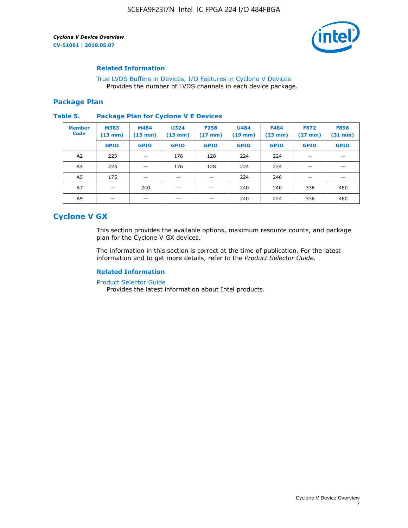

## **Related Information**

[True LVDS Buffers in Devices, I/O Features in Cyclone V Devices](https://www.altera.com/documentation/sam1403481100977.html#sam1403480885395) Provides the number of LVDS channels in each device package.

## **Package Plan**

#### **Table 5. Package Plan for Cyclone V E Devices**

| <b>Member</b><br><b>Code</b> | <b>M383</b><br>$(13 \text{ mm})$ | M484<br>$(15 \text{ mm})$ | <b>U324</b><br>$(15 \text{ mm})$ | <b>F256</b><br>$(17 \text{ mm})$ | <b>U484</b><br>$(19$ mm) | <b>F484</b><br>$(23$ mm $)$ | <b>F672</b><br>$(27 \text{ mm})$ | <b>F896</b><br>$(31 \text{ mm})$ |
|------------------------------|----------------------------------|---------------------------|----------------------------------|----------------------------------|--------------------------|-----------------------------|----------------------------------|----------------------------------|
|                              | <b>GPIO</b>                      | <b>GPIO</b>               | <b>GPIO</b>                      | <b>GPIO</b>                      | <b>GPIO</b>              | <b>GPIO</b>                 | <b>GPIO</b>                      | <b>GPIO</b>                      |
| A <sub>2</sub>               | 223                              |                           | 176                              | 128                              | 224                      | 224                         |                                  |                                  |
| A4                           | 223                              |                           | 176                              | 128                              | 224                      | 224                         | –                                |                                  |
| A <sub>5</sub>               | 175                              |                           |                                  |                                  | 224                      | 240                         |                                  |                                  |
| A7                           |                                  | 240                       |                                  |                                  | 240                      | 240                         | 336                              | 480                              |
| A9                           |                                  |                           |                                  |                                  | 240                      | 224                         | 336                              | 480                              |

# **Cyclone V GX**

This section provides the available options, maximum resource counts, and package plan for the Cyclone V GX devices.

The information in this section is correct at the time of publication. For the latest information and to get more details, refer to the *Product Selector Guide*.

## **Related Information**

[Product Selector Guide](https://www.altera.com/products/product-selector-guide.html)

Provides the latest information about Intel products.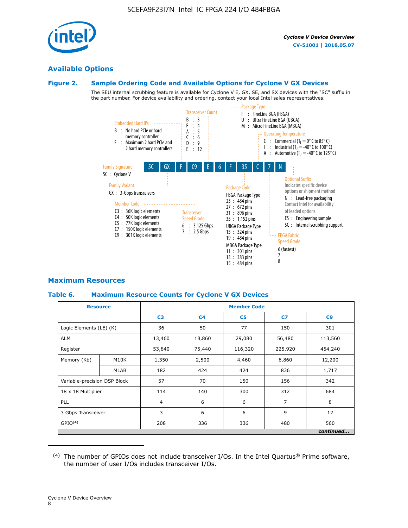

## **Available Options**

#### **Figure 2. Sample Ordering Code and Available Options for Cyclone V GX Devices**

The SEU internal scrubbing feature is available for Cyclone V E, GX, SE, and SX devices with the "SC" suffix in the part number. For device availability and ordering, contact your local Intel sales representatives.



## **Maximum Resources**

## **Table 6. Maximum Resource Counts for Cyclone V GX Devices**

| <b>Resource</b>              |                   | <b>Member Code</b> |                |                |                |           |  |
|------------------------------|-------------------|--------------------|----------------|----------------|----------------|-----------|--|
|                              |                   | C <sub>3</sub>     | C <sub>4</sub> | C <sub>5</sub> | C7             | C9        |  |
| Logic Elements (LE) (K)      |                   | 36                 | 50             | 77             | 150            | 301       |  |
| <b>ALM</b>                   |                   | 13,460             | 18,860         | 29,080         | 56,480         | 113,560   |  |
| Register                     |                   | 53,840             | 75,440         | 116,320        | 225,920        | 454,240   |  |
| Memory (Kb)                  | M <sub>10</sub> K | 1,350              | 2,500          | 4,460          | 6,860          | 12,200    |  |
|                              | <b>MLAB</b>       | 182                | 424            | 424            | 836            | 1,717     |  |
| Variable-precision DSP Block |                   | 57                 | 70             | 150            | 156            | 342       |  |
| 18 x 18 Multiplier           |                   | 114                | 140            | 300            | 312            | 684       |  |
| PLL                          |                   | $\overline{4}$     | 6              | 6              | $\overline{7}$ | 8         |  |
| 3 Gbps Transceiver           |                   | 3                  | 6              | 6              | 9              | 12        |  |
| GPIO <sup>(4)</sup>          |                   | 208                | 336            | 336            | 480            | 560       |  |
|                              |                   |                    |                |                |                | continued |  |

 $(4)$  The number of GPIOs does not include transceiver I/Os. In the Intel Quartus® Prime software, the number of user I/Os includes transceiver I/Os.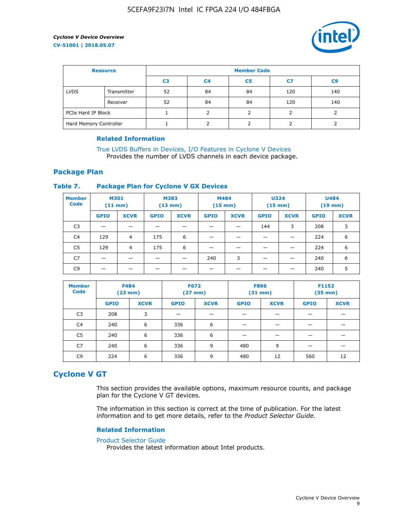

| <b>Resource</b>        |             | <b>Member Code</b> |                |    |     |                |  |  |
|------------------------|-------------|--------------------|----------------|----|-----|----------------|--|--|
|                        |             | C <sub>3</sub>     | C <sub>4</sub> | C5 | C7  | C <sub>9</sub> |  |  |
| <b>LVDS</b>            | Transmitter | 52                 | 84             | 84 | 120 | 140            |  |  |
|                        | Receiver    | 52                 | 84             | 84 | 120 | 140            |  |  |
| PCIe Hard IP Block     |             |                    |                |    |     |                |  |  |
| Hard Memory Controller |             |                    |                |    |     |                |  |  |

## **Related Information**

[True LVDS Buffers in Devices, I/O Features in Cyclone V Devices](https://www.altera.com/documentation/sam1403481100977.html#sam1403480885395) Provides the number of LVDS channels in each device package.

## **Package Plan**

#### **Table 7. Package Plan for Cyclone V GX Devices**

| <b>Member</b><br><b>Code</b> | <b>M301</b><br>$(11$ mm) |             | <b>M383</b><br>(13 mm) |             | M484<br>$(15 \text{ mm})$ |             | <b>U324</b><br>$(15 \text{ mm})$ |             | <b>U484</b><br>$(19$ mm) |             |
|------------------------------|--------------------------|-------------|------------------------|-------------|---------------------------|-------------|----------------------------------|-------------|--------------------------|-------------|
|                              | <b>GPIO</b>              | <b>XCVR</b> | <b>GPIO</b>            | <b>XCVR</b> | <b>GPIO</b>               | <b>XCVR</b> | <b>GPIO</b>                      | <b>XCVR</b> | <b>GPIO</b>              | <b>XCVR</b> |
| C <sub>3</sub>               | -                        |             |                        |             |                           |             | 144                              | 3           | 208                      | 3           |
| C4                           | 129                      | 4           | 175                    | 6           | –                         |             | -                                |             | 224                      | 6           |
| C5                           | 129                      | 4           | 175                    | 6           |                           |             |                                  |             | 224                      | 6           |
| C7                           |                          |             | _                      |             | 240                       | 3           | _                                |             | 240                      | 6           |
| C <sub>9</sub>               |                          |             |                        |             |                           |             |                                  |             | 240                      | 5           |

| <b>Member</b><br><b>Code</b> | <b>F484</b> | $(23$ mm)   | <b>F672</b><br>$(27$ mm $)$ |             | <b>F896</b><br>$(31 \text{ mm})$ |             | F1152<br>$(35 \text{ mm})$ |             |
|------------------------------|-------------|-------------|-----------------------------|-------------|----------------------------------|-------------|----------------------------|-------------|
|                              | <b>GPIO</b> | <b>XCVR</b> | <b>GPIO</b>                 | <b>XCVR</b> | <b>GPIO</b>                      | <b>XCVR</b> | <b>GPIO</b>                | <b>XCVR</b> |
| C <sub>3</sub>               | 208         | 3           |                             |             |                                  |             |                            |             |
| C4                           | 240         | 6           | 336                         | 6           |                                  |             |                            |             |
| C <sub>5</sub>               | 240         | 6           | 336                         | 6           |                                  |             |                            |             |
| C <sub>7</sub>               | 240         | 6           | 336                         | 9           | 480                              | 9           |                            |             |
| C <sub>9</sub>               | 224         | 6           | 336                         | 9           | 480                              | 12          | 560                        | 12          |

## **Cyclone V GT**

This section provides the available options, maximum resource counts, and package plan for the Cyclone V GT devices.

The information in this section is correct at the time of publication. For the latest information and to get more details, refer to the *Product Selector Guide*.

#### **Related Information**

#### [Product Selector Guide](https://www.altera.com/products/product-selector-guide.html)

Provides the latest information about Intel products.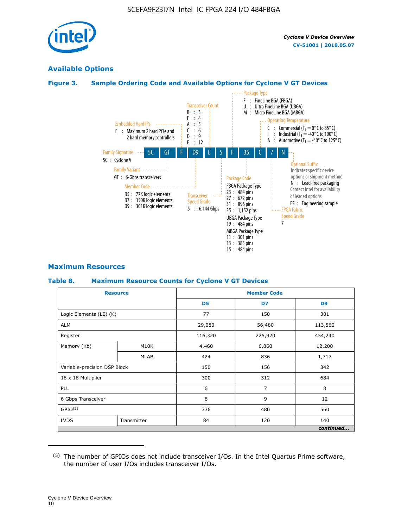

# **Available Options**

# **Figure 3. Sample Ordering Code and Available Options for Cyclone V GT Devices**



# **Maximum Resources**

# **Table 8. Maximum Resource Counts for Cyclone V GT Devices**

|                              | <b>Resource</b> |                | <b>Member Code</b> |                |  |  |  |
|------------------------------|-----------------|----------------|--------------------|----------------|--|--|--|
|                              |                 | D <sub>5</sub> | D7                 | D <sub>9</sub> |  |  |  |
| Logic Elements (LE) (K)      |                 | 77             | 150                | 301            |  |  |  |
| <b>ALM</b>                   |                 | 29,080         | 56,480             | 113,560        |  |  |  |
| Register                     |                 | 116,320        | 225,920            | 454,240        |  |  |  |
| Memory (Kb)                  | M10K            | 4,460          | 6,860              | 12,200         |  |  |  |
|                              | MLAB            | 424            | 836                | 1,717          |  |  |  |
| Variable-precision DSP Block |                 | 150            | 156                | 342            |  |  |  |
| 18 x 18 Multiplier           |                 | 300            | 312                | 684            |  |  |  |
| PLL                          |                 | 6              | 7                  | 8              |  |  |  |
| 6 Gbps Transceiver           |                 | 6              | 9                  | 12             |  |  |  |
| GPIO <sup>(5)</sup>          |                 | 336            | 480                | 560            |  |  |  |
| <b>LVDS</b>                  | Transmitter     | 84             | 120                | 140            |  |  |  |
|                              |                 |                |                    | continued      |  |  |  |

<sup>(5)</sup> The number of GPIOs does not include transceiver I/Os. In the Intel Quartus Prime software, the number of user I/Os includes transceiver I/Os.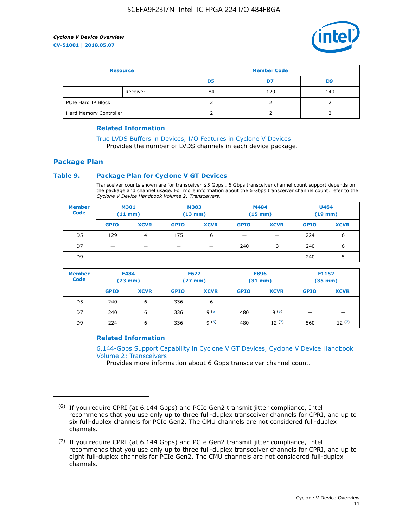

| <b>Resource</b>        |          | <b>Member Code</b> |     |     |  |  |
|------------------------|----------|--------------------|-----|-----|--|--|
|                        |          | D5                 | D7  | D9  |  |  |
|                        | Receiver | 84                 | 120 | 140 |  |  |
| PCIe Hard IP Block     |          |                    |     |     |  |  |
| Hard Memory Controller |          |                    |     |     |  |  |

## **Related Information**

[True LVDS Buffers in Devices, I/O Features in Cyclone V Devices](https://www.altera.com/documentation/sam1403481100977.html#sam1403480885395) Provides the number of LVDS channels in each device package.

# **Package Plan**

## **Table 9. Package Plan for Cyclone V GT Devices**

Transceiver counts shown are for transceiver ≤5 Gbps . 6 Gbps transceiver channel count support depends on the package and channel usage. For more information about the 6 Gbps transceiver channel count, refer to the *Cyclone V Device Handbook Volume 2: Transceivers*.

| <b>Member</b><br><b>Code</b> | <b>M301</b><br>(11 mm) |             | M383<br>(13 mm) |             | M484<br>$(15 \text{ mm})$ |             | <b>U484</b><br>$(19$ mm) |             |
|------------------------------|------------------------|-------------|-----------------|-------------|---------------------------|-------------|--------------------------|-------------|
|                              | <b>GPIO</b>            | <b>XCVR</b> | <b>GPIO</b>     | <b>XCVR</b> | <b>GPIO</b>               | <b>XCVR</b> | <b>GPIO</b>              | <b>XCVR</b> |
| D5                           | 129                    | 4           | 175             | 6           | -                         |             | 224                      | 6           |
| D7                           |                        |             |                 |             | 240                       | 3           | 240                      | 6           |
| D <sub>9</sub>               | -                      |             |                 |             | _                         |             | 240                      | 5           |

| <b>Member</b><br><b>Code</b> | <b>F484</b><br>$(23 \text{ mm})$ |             | <b>F672</b><br>$(27$ mm $)$ |             | <b>F896</b><br>$(31$ mm $)$ |             | F1152<br>$(35$ mm $)$ |             |
|------------------------------|----------------------------------|-------------|-----------------------------|-------------|-----------------------------|-------------|-----------------------|-------------|
|                              | <b>GPIO</b>                      | <b>XCVR</b> | <b>GPIO</b>                 | <b>XCVR</b> | <b>GPIO</b>                 | <b>XCVR</b> | <b>GPIO</b>           | <b>XCVR</b> |
| D <sub>5</sub>               | 240                              | 6           | 336                         | 6           | -                           |             |                       |             |
| D7                           | 240                              | 6           | 336                         | q(6)        | 480                         | q(6)        | -                     | _           |
| D <sub>9</sub>               | 224                              | 6           | 336                         | q(6)        | 480                         | 12(7)       | 560                   | 12(7)       |

## **Related Information**

[6.144-Gbps Support Capability in Cyclone V GT Devices, Cyclone V Device Handbook](https://www.altera.com/documentation/nik1409855456781.html#nik1409855410757) [Volume 2: Transceivers](https://www.altera.com/documentation/nik1409855456781.html#nik1409855410757)

Provides more information about 6 Gbps transceiver channel count.

<sup>(6)</sup> If you require CPRI (at 6.144 Gbps) and PCIe Gen2 transmit jitter compliance, Intel recommends that you use only up to three full-duplex transceiver channels for CPRI, and up to six full-duplex channels for PCIe Gen2. The CMU channels are not considered full-duplex channels.

 $(7)$  If you require CPRI (at 6.144 Gbps) and PCIe Gen2 transmit jitter compliance, Intel recommends that you use only up to three full-duplex transceiver channels for CPRI, and up to eight full-duplex channels for PCIe Gen2. The CMU channels are not considered full-duplex channels.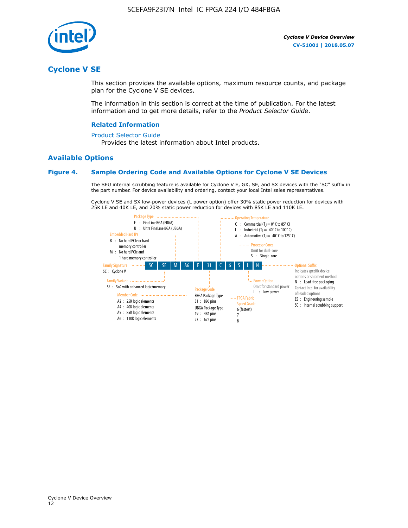

# **Cyclone V SE**

This section provides the available options, maximum resource counts, and package plan for the Cyclone V SE devices.

The information in this section is correct at the time of publication. For the latest information and to get more details, refer to the *Product Selector Guide*.

#### **Related Information**

#### [Product Selector Guide](https://www.altera.com/products/product-selector-guide.html)

Provides the latest information about Intel products.

## **Available Options**

#### **Figure 4. Sample Ordering Code and Available Options for Cyclone V SE Devices**

The SEU internal scrubbing feature is available for Cyclone V E, GX, SE, and SX devices with the "SC" suffix in the part number. For device availability and ordering, contact your local Intel sales representatives.

Cyclone V SE and SX low-power devices (L power option) offer 30% static power reduction for devices with 25K LE and 40K LE, and 20% static power reduction for devices with 85K LE and 110K LE.

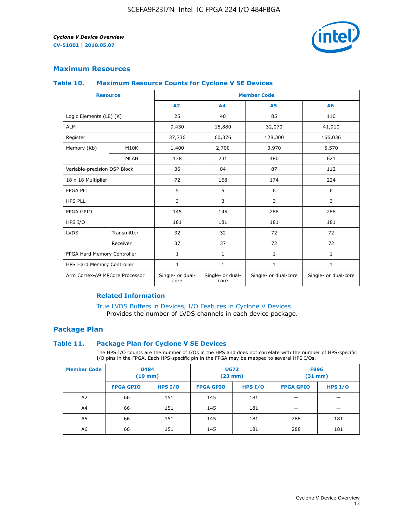

## **Maximum Resources**

#### **Table 10. Maximum Resource Counts for Cyclone V SE Devices**

|                                | <b>Resource</b>   | <b>Member Code</b>       |                          |                      |                      |  |
|--------------------------------|-------------------|--------------------------|--------------------------|----------------------|----------------------|--|
|                                |                   | A2                       | A4                       | <b>A5</b>            | A6                   |  |
| Logic Elements (LE) (K)        |                   | 25                       | 40                       | 85                   | 110                  |  |
| <b>ALM</b>                     |                   | 9,430                    | 15,880                   | 32,070               | 41,910               |  |
| Register                       |                   | 37,736                   | 60,376                   | 128,300              | 166,036              |  |
| Memory (Kb)                    | M <sub>10</sub> K | 1,400                    | 2,700                    | 3,970                | 5,570                |  |
|                                | <b>MLAB</b>       | 138                      | 231                      | 480                  | 621                  |  |
| Variable-precision DSP Block   |                   | 36                       | 84                       | 87                   | 112                  |  |
| 18 x 18 Multiplier             |                   | 72                       | 168                      | 174                  | 224                  |  |
| <b>FPGA PLL</b>                |                   | 5                        | 5                        | 6                    | 6                    |  |
| <b>HPS PLL</b>                 |                   | 3                        | 3                        | 3                    | 3                    |  |
| <b>FPGA GPIO</b>               |                   | 145                      | 145                      | 288                  | 288                  |  |
| HPS I/O                        |                   | 181                      | 181                      | 181                  | 181                  |  |
| <b>LVDS</b>                    | Transmitter       | 32                       | 32                       | 72                   | 72                   |  |
|                                | Receiver          | 37                       | 37                       | 72                   | 72                   |  |
| FPGA Hard Memory Controller    |                   | 1                        | $\mathbf{1}$             | $\mathbf{1}$         | $\mathbf{1}$         |  |
| HPS Hard Memory Controller     |                   | $\mathbf{1}$             | $\mathbf{1}$             | $\mathbf{1}$         | $\mathbf{1}$         |  |
| Arm Cortex-A9 MPCore Processor |                   | Single- or dual-<br>core | Single- or dual-<br>core | Single- or dual-core | Single- or dual-core |  |

## **Related Information**

[True LVDS Buffers in Devices, I/O Features in Cyclone V Devices](https://www.altera.com/documentation/sam1403481100977.html#sam1403480885395) Provides the number of LVDS channels in each device package.

## **Package Plan**

#### **Table 11. Package Plan for Cyclone V SE Devices**

The HPS I/O counts are the number of I/Os in the HPS and does not correlate with the number of HPS-specific I/O pins in the FPGA. Each HPS-specific pin in the FPGA may be mapped to several HPS I/Os.

| <b>Member Code</b> | <b>U484</b><br>$(19$ mm) |           | U672<br>(23 mm)  |           | <b>F896</b><br>$(31$ mm $)$ |         |
|--------------------|--------------------------|-----------|------------------|-----------|-----------------------------|---------|
|                    | <b>FPGA GPIO</b>         | HPS $I/O$ | <b>FPGA GPIO</b> | HPS $I/O$ | <b>FPGA GPIO</b>            | HPS I/O |
| A <sub>2</sub>     | 66                       | 151       | 145              | 181       |                             |         |
| A4                 | 66                       | 151       | 145              | 181       |                             |         |
| A <sub>5</sub>     | 66                       | 151       | 145              | 181       | 288                         | 181     |
| A6                 | 66                       | 151       | 145              | 181       | 288                         | 181     |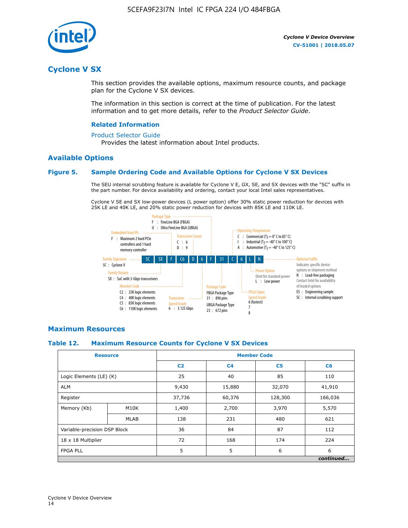

# **Cyclone V SX**

This section provides the available options, maximum resource counts, and package plan for the Cyclone V SX devices.

The information in this section is correct at the time of publication. For the latest information and to get more details, refer to the *Product Selector Guide*.

#### **Related Information**

#### [Product Selector Guide](https://www.altera.com/products/product-selector-guide.html)

Provides the latest information about Intel products.

## **Available Options**

## **Figure 5. Sample Ordering Code and Available Options for Cyclone V SX Devices**

The SEU internal scrubbing feature is available for Cyclone V E, GX, SE, and SX devices with the "SC" suffix in the part number. For device availability and ordering, contact your local Intel sales representatives.

Cyclone V SE and SX low-power devices (L power option) offer 30% static power reduction for devices with 25K LE and 40K LE, and 20% static power reduction for devices with 85K LE and 110K LE.



## **Maximum Resources**

## **Table 12. Maximum Resource Counts for Cyclone V SX Devices**

|                              | <b>Resource</b> | <b>Member Code</b> |                |                |           |  |
|------------------------------|-----------------|--------------------|----------------|----------------|-----------|--|
|                              |                 | C <sub>2</sub>     | C <sub>4</sub> | C <sub>5</sub> | C6        |  |
| Logic Elements (LE) (K)      |                 | 25                 | 40             | 85             | 110       |  |
| <b>ALM</b>                   |                 | 9,430              | 15,880         | 32,070         | 41,910    |  |
| Register                     |                 | 37,736             | 60,376         | 128,300        | 166,036   |  |
| Memory (Kb)                  | M10K            | 1,400              | 2,700          | 3,970          | 5,570     |  |
|                              | <b>MLAB</b>     | 138                | 231            | 480            | 621       |  |
| Variable-precision DSP Block |                 | 36                 | 84             | 87             | 112       |  |
| 18 x 18 Multiplier           |                 | 72                 | 168            | 174            | 224       |  |
| <b>FPGA PLL</b>              |                 | 5                  | 5              | 6              | 6         |  |
|                              |                 |                    |                |                | continued |  |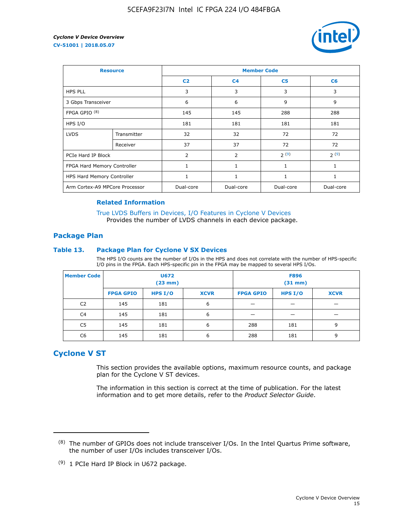

| <b>Resource</b>                |             | <b>Member Code</b> |                |                |           |  |  |
|--------------------------------|-------------|--------------------|----------------|----------------|-----------|--|--|
|                                |             | C <sub>2</sub>     | C <sub>4</sub> | C <sub>5</sub> | C6        |  |  |
| <b>HPS PLL</b>                 |             | 3                  | 3              | 3              | 3         |  |  |
| 3 Gbps Transceiver             |             | 6                  | 6              | 9              | 9         |  |  |
| FPGA GPIO $(8)$                |             | 145                | 145            | 288            | 288       |  |  |
| HPS I/O                        |             | 181                | 181            | 181            | 181       |  |  |
| <b>LVDS</b>                    | Transmitter | 32                 | 32             | 72             | 72        |  |  |
|                                | Receiver    | 37                 | 37             | 72             | 72        |  |  |
| PCIe Hard IP Block             |             | $\overline{2}$     | $\overline{2}$ | 2(9)           | 2(9)      |  |  |
| FPGA Hard Memory Controller    |             | 1                  | $\mathbf{1}$   | 1              | 1         |  |  |
| HPS Hard Memory Controller     |             | 1                  | 1              | $\mathbf{1}$   | 1         |  |  |
| Arm Cortex-A9 MPCore Processor |             | Dual-core          | Dual-core      | Dual-core      | Dual-core |  |  |

#### **Related Information**

[True LVDS Buffers in Devices, I/O Features in Cyclone V Devices](https://www.altera.com/documentation/sam1403481100977.html#sam1403480885395) Provides the number of LVDS channels in each device package.

## **Package Plan**

#### **Table 13. Package Plan for Cyclone V SX Devices**

The HPS I/O counts are the number of I/Os in the HPS and does not correlate with the number of HPS-specific I/O pins in the FPGA. Each HPS-specific pin in the FPGA may be mapped to several HPS I/Os.

| <b>Member Code</b> | U672<br>(23 mm)  |           | <b>F896</b><br>$(31$ mm $)$ |                  |           |             |
|--------------------|------------------|-----------|-----------------------------|------------------|-----------|-------------|
|                    | <b>FPGA GPIO</b> | HPS $I/O$ | <b>XCVR</b>                 | <b>FPGA GPIO</b> | HPS $I/O$ | <b>XCVR</b> |
| C <sub>2</sub>     | 145              | 181       | 6                           |                  |           |             |
| C <sub>4</sub>     | 145              | 181       | 6                           |                  |           |             |
| C5                 | 145              | 181       | 6                           | 288              | 181       | 9           |
| C6                 | 145              | 181       | 6                           | 288              | 181       | 9           |

# **Cyclone V ST**

This section provides the available options, maximum resource counts, and package plan for the Cyclone V ST devices.

The information in this section is correct at the time of publication. For the latest information and to get more details, refer to the *Product Selector Guide*.

 $(8)$  The number of GPIOs does not include transceiver I/Os. In the Intel Quartus Prime software, the number of user I/Os includes transceiver I/Os.

<sup>(9)</sup> 1 PCIe Hard IP Block in U672 package.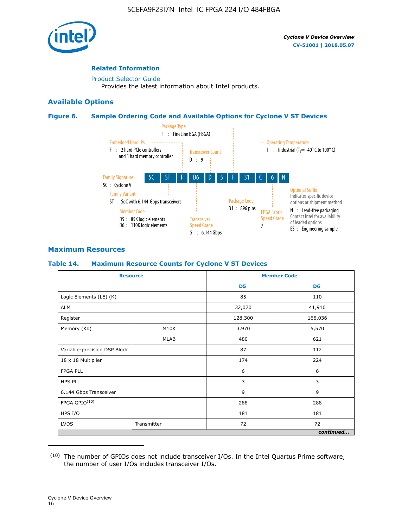

## **Related Information**

[Product Selector Guide](https://www.altera.com/products/product-selector-guide.html) Provides the latest information about Intel products.

## **Available Options**

## **Figure 6. Sample Ordering Code and Available Options for Cyclone V ST Devices**



## **Maximum Resources**

#### **Table 14. Maximum Resource Counts for Cyclone V ST Devices**

| <b>Resource</b>              |             |                | <b>Member Code</b> |
|------------------------------|-------------|----------------|--------------------|
|                              |             | D <sub>5</sub> | D <sub>6</sub>     |
| Logic Elements (LE) (K)      |             | 85             | 110                |
| <b>ALM</b>                   |             | 32,070         | 41,910             |
| Register                     |             | 128,300        | 166,036            |
| Memory (Kb)                  | M10K        | 3,970          | 5,570              |
|                              | <b>MLAB</b> | 480            | 621                |
| Variable-precision DSP Block |             | 87             | 112                |
| 18 x 18 Multiplier           |             | 174            | 224                |
| <b>FPGA PLL</b>              |             | 6              | 6                  |
| <b>HPS PLL</b>               |             | 3              | 3                  |
| 6.144 Gbps Transceiver       |             | 9              | 9                  |
| FPGA GPIO(10)                |             | 288            | 288                |
| HPS I/O                      |             | 181            | 181                |
| <b>LVDS</b>                  | Transmitter |                | 72                 |
|                              |             |                | continued          |

<sup>(10)</sup> The number of GPIOs does not include transceiver I/Os. In the Intel Quartus Prime software, the number of user I/Os includes transceiver I/Os.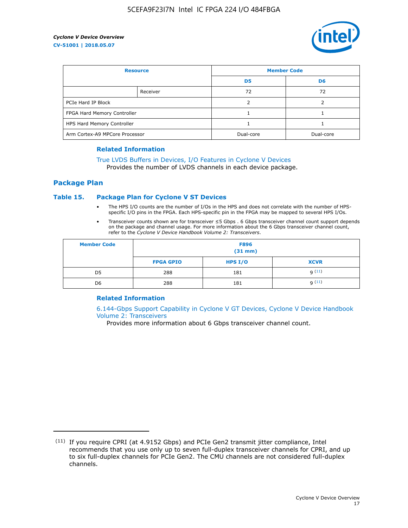

| <b>Resource</b>                |          | <b>Member Code</b> |                |  |
|--------------------------------|----------|--------------------|----------------|--|
|                                |          | D <sub>5</sub>     | D <sub>6</sub> |  |
|                                | Receiver | 72                 | 72             |  |
| PCIe Hard IP Block             |          |                    |                |  |
| FPGA Hard Memory Controller    |          |                    |                |  |
| HPS Hard Memory Controller     |          |                    |                |  |
| Arm Cortex-A9 MPCore Processor |          | Dual-core          | Dual-core      |  |

#### **Related Information**

# [True LVDS Buffers in Devices, I/O Features in Cyclone V Devices](https://www.altera.com/documentation/sam1403481100977.html#sam1403480885395)

Provides the number of LVDS channels in each device package.

## **Package Plan**

#### **Table 15. Package Plan for Cyclone V ST Devices**

- The HPS I/O counts are the number of I/Os in the HPS and does not correlate with the number of HPSspecific I/O pins in the FPGA. Each HPS-specific pin in the FPGA may be mapped to several HPS I/Os.
- Transceiver counts shown are for transceiver ≤5 Gbps . 6 Gbps transceiver channel count support depends on the package and channel usage. For more information about the 6 Gbps transceiver channel count, refer to the *Cyclone V Device Handbook Volume 2: Transceivers*.

| <b>Member Code</b> | <b>F896</b><br>$(31$ mm $)$ |           |             |  |  |
|--------------------|-----------------------------|-----------|-------------|--|--|
|                    | <b>FPGA GPIO</b>            | HPS $I/O$ | <b>XCVR</b> |  |  |
| D <sub>5</sub>     | 288                         | 181       | 9(11)       |  |  |
| D <sub>6</sub>     | 288                         | 181       | q(11)       |  |  |

## **Related Information**

[6.144-Gbps Support Capability in Cyclone V GT Devices, Cyclone V Device Handbook](https://www.altera.com/documentation/nik1409855456781.html#nik1409855410757) [Volume 2: Transceivers](https://www.altera.com/documentation/nik1409855456781.html#nik1409855410757)

Provides more information about 6 Gbps transceiver channel count.

<sup>(11)</sup> If you require CPRI (at 4.9152 Gbps) and PCIe Gen2 transmit jitter compliance, Intel recommends that you use only up to seven full-duplex transceiver channels for CPRI, and up to six full-duplex channels for PCIe Gen2. The CMU channels are not considered full-duplex channels.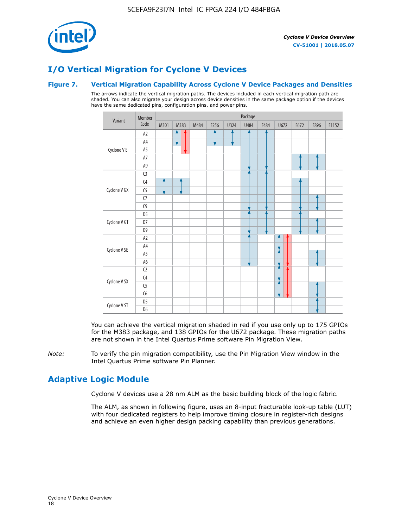

# **I/O Vertical Migration for Cyclone V Devices**

## **Figure 7. Vertical Migration Capability Across Cyclone V Device Packages and Densities**

The arrows indicate the vertical migration paths. The devices included in each vertical migration path are shaded. You can also migrate your design across device densities in the same package option if the devices have the same dedicated pins, configuration pins, and power pins.



You can achieve the vertical migration shaded in red if you use only up to 175 GPIOs for the M383 package, and 138 GPIOs for the U672 package. These migration paths are not shown in the Intel Quartus Prime software Pin Migration View.

*Note:* To verify the pin migration compatibility, use the Pin Migration View window in the Intel Quartus Prime software Pin Planner.

# **Adaptive Logic Module**

Cyclone V devices use a 28 nm ALM as the basic building block of the logic fabric.

The ALM, as shown in following figure, uses an 8-input fracturable look-up table (LUT) with four dedicated registers to help improve timing closure in register-rich designs and achieve an even higher design packing capability than previous generations.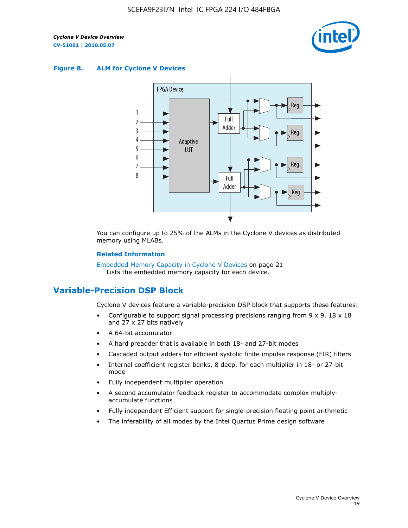

#### **Figure 8. ALM for Cyclone V Devices**



You can configure up to 25% of the ALMs in the Cyclone V devices as distributed memory using MLABs.

#### **Related Information**

Embedded Memory Capacity in Cyclone V Devices on page 21 Lists the embedded memory capacity for each device.

# **Variable-Precision DSP Block**

Cyclone V devices feature a variable-precision DSP block that supports these features:

- Configurable to support signal processing precisions ranging from  $9 \times 9$ ,  $18 \times 18$ and 27 x 27 bits natively
- A 64-bit accumulator
- A hard preadder that is available in both 18- and 27-bit modes
- Cascaded output adders for efficient systolic finite impulse response (FIR) filters
- Internal coefficient register banks, 8 deep, for each multiplier in 18- or 27-bit mode
- Fully independent multiplier operation
- A second accumulator feedback register to accommodate complex multiplyaccumulate functions
- Fully independent Efficient support for single-precision floating point arithmetic
- The inferability of all modes by the Intel Quartus Prime design software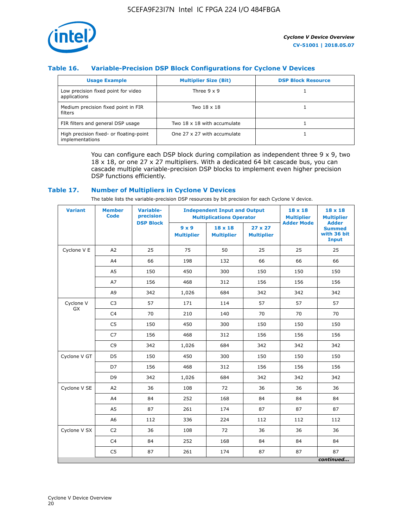

## **Table 16. Variable-Precision DSP Block Configurations for Cyclone V Devices**

| <b>Usage Example</b>                                       | <b>Multiplier Size (Bit)</b> | <b>DSP Block Resource</b> |
|------------------------------------------------------------|------------------------------|---------------------------|
| Low precision fixed point for video<br>applications        | Three $9 \times 9$           |                           |
| Medium precision fixed point in FIR<br>filters             | Two 18 x 18                  |                           |
| FIR filters and general DSP usage                          | Two 18 x 18 with accumulate  |                           |
| High precision fixed- or floating-point<br>implementations | One 27 x 27 with accumulate  |                           |

You can configure each DSP block during compilation as independent three  $9 \times 9$ , two 18 x 18, or one 27 x 27 multipliers. With a dedicated 64 bit cascade bus, you can cascade multiple variable-precision DSP blocks to implement even higher precision DSP functions efficiently.

## **Table 17. Number of Multipliers in Cyclone V Devices**

The table lists the variable-precision DSP resources by bit precision for each Cyclone V device.

| <b>Variant</b>  | <b>Member</b><br>Code | <b>Variable-</b><br>precision |                                   | <b>Independent Input and Output</b><br><b>Multiplications Operator</b> | $18 \times 18$<br><b>Multiplier</b> | $18 \times 18$<br><b>Multiplier</b> |                                                              |
|-----------------|-----------------------|-------------------------------|-----------------------------------|------------------------------------------------------------------------|-------------------------------------|-------------------------------------|--------------------------------------------------------------|
|                 |                       | <b>DSP Block</b>              | $9 \times 9$<br><b>Multiplier</b> | $18 \times 18$<br><b>Multiplier</b>                                    | $27 \times 27$<br><b>Multiplier</b> | <b>Adder Mode</b>                   | <b>Adder</b><br><b>Summed</b><br>with 36 bit<br><b>Input</b> |
| Cyclone V E     | A2                    | 25                            | 75                                | 50                                                                     | 25                                  | 25                                  | 25                                                           |
|                 | A4                    | 66                            | 198                               | 132                                                                    | 66                                  | 66                                  | 66                                                           |
|                 | A <sub>5</sub>        | 150                           | 450                               | 300                                                                    | 150                                 | 150                                 | 150                                                          |
|                 | A7                    | 156                           | 468                               | 312                                                                    | 156                                 | 156                                 | 156                                                          |
|                 | A <sub>9</sub>        | 342                           | 1,026                             | 684                                                                    | 342                                 | 342                                 | 342                                                          |
| Cyclone V<br>GX | C <sub>3</sub>        | 57                            | 171                               | 114                                                                    | 57                                  | 57                                  | 57                                                           |
|                 | C <sub>4</sub>        | 70                            | 210                               | 140                                                                    | 70                                  | 70                                  | 70                                                           |
|                 | C <sub>5</sub>        | 150                           | 450                               | 300                                                                    | 150                                 | 150                                 | 150                                                          |
|                 | C7                    | 156                           | 468                               | 312                                                                    | 156                                 | 156                                 | 156                                                          |
|                 | C <sub>9</sub>        | 342                           | 1,026                             | 684                                                                    | 342                                 | 342                                 | 342                                                          |
| Cyclone V GT    | D <sub>5</sub>        | 150                           | 450                               | 300                                                                    | 150                                 | 150                                 | 150                                                          |
|                 | D7                    | 156                           | 468                               | 312                                                                    | 156                                 | 156                                 | 156                                                          |
|                 | D <sub>9</sub>        | 342                           | 1,026                             | 684                                                                    | 342                                 | 342                                 | 342                                                          |
| Cyclone V SE    | A <sub>2</sub>        | 36                            | 108                               | 72                                                                     | 36                                  | 36                                  | 36                                                           |
|                 | A4                    | 84                            | 252                               | 168                                                                    | 84                                  | 84                                  | 84                                                           |
|                 | A <sub>5</sub>        | 87                            | 261                               | 174                                                                    | 87                                  | 87                                  | 87                                                           |
|                 | A <sub>6</sub>        | 112                           | 336                               | 224                                                                    | 112                                 | 112                                 | 112                                                          |
| Cyclone V SX    | C <sub>2</sub>        | 36                            | 108                               | 72                                                                     | 36                                  | 36                                  | 36                                                           |
|                 | C <sub>4</sub>        | 84                            | 252                               | 168                                                                    | 84                                  | 84                                  | 84                                                           |
|                 | C <sub>5</sub>        | 87                            | 261                               | 174                                                                    | 87                                  | 87                                  | 87                                                           |
|                 |                       |                               |                                   |                                                                        |                                     |                                     | continued                                                    |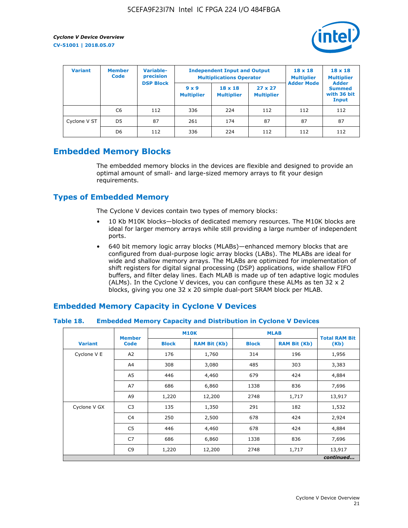

| <b>Variant</b> | Variable-<br><b>Member</b><br>precision<br><b>Code</b> |                  | <b>Independent Input and Output</b><br><b>Multiplications Operator</b> | $18 \times 18$<br><b>Multiplier</b> | $18 \times 18$<br><b>Multiplier</b><br><b>Adder</b> |                   |                                       |
|----------------|--------------------------------------------------------|------------------|------------------------------------------------------------------------|-------------------------------------|-----------------------------------------------------|-------------------|---------------------------------------|
|                |                                                        | <b>DSP Block</b> | $9 \times 9$<br><b>Multiplier</b>                                      | $18 \times 18$<br><b>Multiplier</b> | $27 \times 27$<br><b>Multiplier</b>                 | <b>Adder Mode</b> | <b>Summed</b><br>with 36 bit<br>Input |
|                | C6                                                     | 112              | 336                                                                    | 224                                 | 112                                                 | 112               | 112                                   |
| Cyclone V ST   | D <sub>5</sub>                                         | 87               | 261                                                                    | 174                                 | 87                                                  | 87                | 87                                    |
|                | D <sub>6</sub>                                         | 112              | 336                                                                    | 224                                 | 112                                                 | 112               | 112                                   |

# **Embedded Memory Blocks**

The embedded memory blocks in the devices are flexible and designed to provide an optimal amount of small- and large-sized memory arrays to fit your design requirements.

# **Types of Embedded Memory**

The Cyclone V devices contain two types of memory blocks:

- 10 Kb M10K blocks—blocks of dedicated memory resources. The M10K blocks are ideal for larger memory arrays while still providing a large number of independent ports.
- 640 bit memory logic array blocks (MLABs)—enhanced memory blocks that are configured from dual-purpose logic array blocks (LABs). The MLABs are ideal for wide and shallow memory arrays. The MLABs are optimized for implementation of shift registers for digital signal processing (DSP) applications, wide shallow FIFO buffers, and filter delay lines. Each MLAB is made up of ten adaptive logic modules (ALMs). In the Cyclone V devices, you can configure these ALMs as ten 32 x 2 blocks, giving you one 32 x 20 simple dual-port SRAM block per MLAB.

# **Embedded Memory Capacity in Cyclone V Devices**

## **Table 18. Embedded Memory Capacity and Distribution in Cyclone V Devices**

|                | <b>Member</b>  | <b>M10K</b>  |                     | <b>MLAB</b>  | <b>Total RAM Bit</b> |           |
|----------------|----------------|--------------|---------------------|--------------|----------------------|-----------|
| <b>Variant</b> | <b>Code</b>    | <b>Block</b> | <b>RAM Bit (Kb)</b> | <b>Block</b> | <b>RAM Bit (Kb)</b>  | (Kb)      |
| Cyclone V E    | A2             | 176          | 1,760               | 314          | 196                  | 1,956     |
|                | A4             | 308          | 3,080               | 485          | 303                  | 3,383     |
|                | A5             | 446          | 4,460               | 679          | 424                  | 4,884     |
|                | A7             | 686          | 6,860               | 1338         | 836                  | 7,696     |
|                | A9             | 1,220        | 12,200              | 2748         | 1,717                | 13,917    |
| Cyclone V GX   | C <sub>3</sub> | 135          | 1,350               | 291          | 182                  | 1,532     |
|                | C4             | 250          | 2,500               | 678          | 424                  | 2,924     |
|                | C5             | 446          | 4,460               | 678          | 424                  | 4,884     |
|                | C7             | 686          | 6,860               | 1338         | 836                  | 7,696     |
|                | C <sub>9</sub> | 1,220        | 12,200              | 2748         | 1,717                | 13,917    |
|                |                |              |                     |              |                      | continued |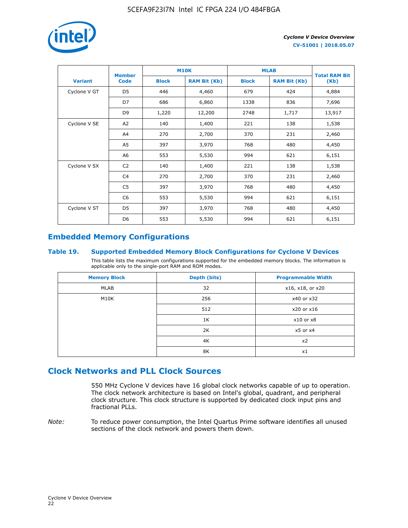

|                | <b>Member</b>  | <b>M10K</b>  |                     | <b>MLAB</b>  | <b>Total RAM Bit</b> |        |
|----------------|----------------|--------------|---------------------|--------------|----------------------|--------|
| <b>Variant</b> | <b>Code</b>    | <b>Block</b> | <b>RAM Bit (Kb)</b> | <b>Block</b> | <b>RAM Bit (Kb)</b>  | (Kb)   |
| Cyclone V GT   | D <sub>5</sub> | 446          | 4,460               | 679          | 424                  | 4,884  |
|                | D7             | 686          | 6,860               | 1338         | 836                  | 7,696  |
|                | D <sub>9</sub> | 1,220        | 12,200              | 2748         | 1,717                | 13,917 |
| Cyclone V SE   | A <sub>2</sub> | 140          | 1,400               | 221          | 138                  | 1,538  |
|                | A4             | 270          | 2,700               | 370          | 231                  | 2,460  |
|                | A5             | 397          | 3,970               | 768          | 480                  | 4,450  |
|                | A6             | 553          | 5,530               | 994          | 621                  | 6,151  |
| Cyclone V SX   | C <sub>2</sub> | 140          | 1,400               | 221          | 138                  | 1,538  |
|                | C4             | 270          | 2,700               | 370          | 231                  | 2,460  |
|                | C5             | 397          | 3,970               | 768          | 480                  | 4,450  |
|                | C6             | 553          | 5,530               | 994          | 621                  | 6,151  |
| Cyclone V ST   | D <sub>5</sub> | 397          | 3,970               | 768          | 480                  | 4,450  |
|                | D <sub>6</sub> | 553          | 5,530               | 994          | 621                  | 6,151  |

# **Embedded Memory Configurations**

## **Table 19. Supported Embedded Memory Block Configurations for Cyclone V Devices**

This table lists the maximum configurations supported for the embedded memory blocks. The information is applicable only to the single-port RAM and ROM modes.

| <b>Memory Block</b> | Depth (bits) | <b>Programmable Width</b> |
|---------------------|--------------|---------------------------|
| MLAB                | 32           | x16, x18, or x20          |
| M10K                | 256          | x40 or x32                |
|                     | 512          | x20 or x16                |
|                     | 1K           | $x10$ or $x8$             |
|                     | 2K           | $x5$ or $x4$              |
|                     | 4K           | x2                        |
|                     | 8K           | x1                        |

# **Clock Networks and PLL Clock Sources**

550 MHz Cyclone V devices have 16 global clock networks capable of up to operation. The clock network architecture is based on Intel's global, quadrant, and peripheral clock structure. This clock structure is supported by dedicated clock input pins and fractional PLLs.

*Note:* To reduce power consumption, the Intel Quartus Prime software identifies all unused sections of the clock network and powers them down.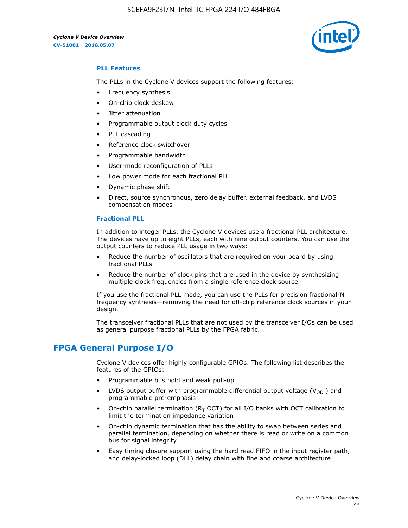5CEFA9F23I7N Intel IC FPGA 224 I/O 484FBGA



## **PLL Features**

The PLLs in the Cyclone V devices support the following features:

- Frequency synthesis
- On-chip clock deskew
- Jitter attenuation
- Programmable output clock duty cycles
- PLL cascading
- Reference clock switchover
- Programmable bandwidth
- User-mode reconfiguration of PLLs
- Low power mode for each fractional PLL
- Dynamic phase shift
- Direct, source synchronous, zero delay buffer, external feedback, and LVDS compensation modes

#### **Fractional PLL**

In addition to integer PLLs, the Cyclone V devices use a fractional PLL architecture. The devices have up to eight PLLs, each with nine output counters. You can use the output counters to reduce PLL usage in two ways:

- Reduce the number of oscillators that are required on your board by using fractional PLLs
- Reduce the number of clock pins that are used in the device by synthesizing multiple clock frequencies from a single reference clock source

If you use the fractional PLL mode, you can use the PLLs for precision fractional-N frequency synthesis—removing the need for off-chip reference clock sources in your design.

The transceiver fractional PLLs that are not used by the transceiver I/Os can be used as general purpose fractional PLLs by the FPGA fabric.

# **FPGA General Purpose I/O**

Cyclone V devices offer highly configurable GPIOs. The following list describes the features of the GPIOs:

- Programmable bus hold and weak pull-up
- LVDS output buffer with programmable differential output voltage ( $V_{OD}$ ) and programmable pre-emphasis
- On-chip parallel termination ( $R<sub>T</sub>$  OCT) for all I/O banks with OCT calibration to limit the termination impedance variation
- On-chip dynamic termination that has the ability to swap between series and parallel termination, depending on whether there is read or write on a common bus for signal integrity
- Easy timing closure support using the hard read FIFO in the input register path, and delay-locked loop (DLL) delay chain with fine and coarse architecture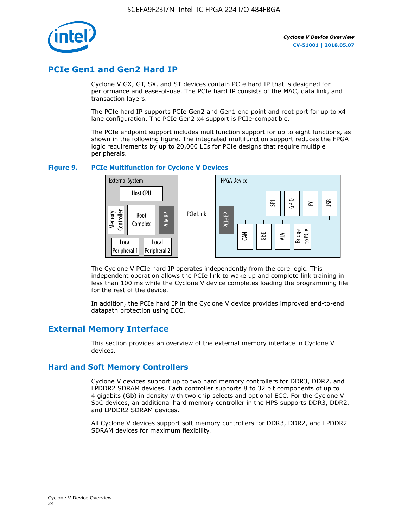

# **PCIe Gen1 and Gen2 Hard IP**

Cyclone V GX, GT, SX, and ST devices contain PCIe hard IP that is designed for performance and ease-of-use. The PCIe hard IP consists of the MAC, data link, and transaction layers.

The PCIe hard IP supports PCIe Gen2 and Gen1 end point and root port for up to x4 lane configuration. The PCIe Gen2 x4 support is PCIe-compatible.

The PCIe endpoint support includes multifunction support for up to eight functions, as shown in the following figure. The integrated multifunction support reduces the FPGA logic requirements by up to 20,000 LEs for PCIe designs that require multiple peripherals.

## **Figure 9. PCIe Multifunction for Cyclone V Devices**



The Cyclone V PCIe hard IP operates independently from the core logic. This independent operation allows the PCIe link to wake up and complete link training in less than 100 ms while the Cyclone V device completes loading the programming file for the rest of the device.

In addition, the PCIe hard IP in the Cyclone V device provides improved end-to-end datapath protection using ECC.

# **External Memory Interface**

This section provides an overview of the external memory interface in Cyclone V devices.

## **Hard and Soft Memory Controllers**

Cyclone V devices support up to two hard memory controllers for DDR3, DDR2, and LPDDR2 SDRAM devices. Each controller supports 8 to 32 bit components of up to 4 gigabits (Gb) in density with two chip selects and optional ECC. For the Cyclone V SoC devices, an additional hard memory controller in the HPS supports DDR3, DDR2, and LPDDR2 SDRAM devices.

All Cyclone V devices support soft memory controllers for DDR3, DDR2, and LPDDR2 SDRAM devices for maximum flexibility.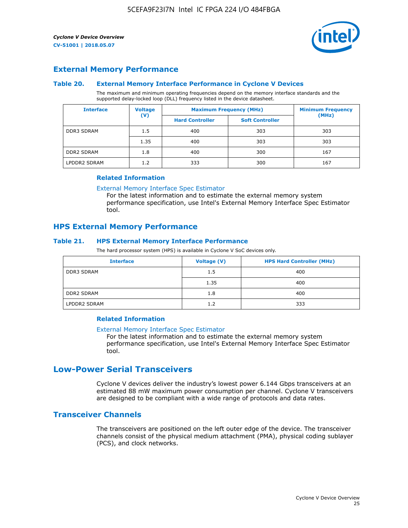

## **External Memory Performance**

#### **Table 20. External Memory Interface Performance in Cyclone V Devices**

The maximum and minimum operating frequencies depend on the memory interface standards and the supported delay-locked loop (DLL) frequency listed in the device datasheet.

| <b>Interface</b>  | <b>Voltage</b> | <b>Maximum Frequency (MHz)</b> |                        | <b>Minimum Frequency</b><br>(MHz) |  |
|-------------------|----------------|--------------------------------|------------------------|-----------------------------------|--|
|                   | $(\mathsf{V})$ | <b>Hard Controller</b>         | <b>Soft Controller</b> |                                   |  |
| <b>DDR3 SDRAM</b> | 1.5            | 400                            | 303                    | 303                               |  |
|                   | 1.35           | 400                            | 303                    | 303                               |  |
| <b>DDR2 SDRAM</b> | 1.8            | 400                            | 300                    | 167                               |  |
| LPDDR2 SDRAM      | 1.2            | 333                            | 300                    | 167                               |  |

#### **Related Information**

[External Memory Interface Spec Estimator](https://www.altera.com/solutions/technology/external-memory/spec-estimator.html)

For the latest information and to estimate the external memory system performance specification, use Intel's External Memory Interface Spec Estimator tool.

## **HPS External Memory Performance**

## **Table 21. HPS External Memory Interface Performance**

The hard processor system (HPS) is available in Cyclone V SoC devices only.

| <b>Interface</b>  | <b>Voltage (V)</b> | <b>HPS Hard Controller (MHz)</b> |
|-------------------|--------------------|----------------------------------|
| <b>DDR3 SDRAM</b> | 1.5                | 400                              |
|                   | 1.35               | 400                              |
| <b>DDR2 SDRAM</b> | 1.8                | 400                              |
| LPDDR2 SDRAM      | 1.2                | 333                              |

## **Related Information**

#### [External Memory Interface Spec Estimator](https://www.altera.com/solutions/technology/external-memory/spec-estimator.html)

For the latest information and to estimate the external memory system performance specification, use Intel's External Memory Interface Spec Estimator tool.

# **Low-Power Serial Transceivers**

Cyclone V devices deliver the industry's lowest power 6.144 Gbps transceivers at an estimated 88 mW maximum power consumption per channel. Cyclone V transceivers are designed to be compliant with a wide range of protocols and data rates.

## **Transceiver Channels**

The transceivers are positioned on the left outer edge of the device. The transceiver channels consist of the physical medium attachment (PMA), physical coding sublayer (PCS), and clock networks.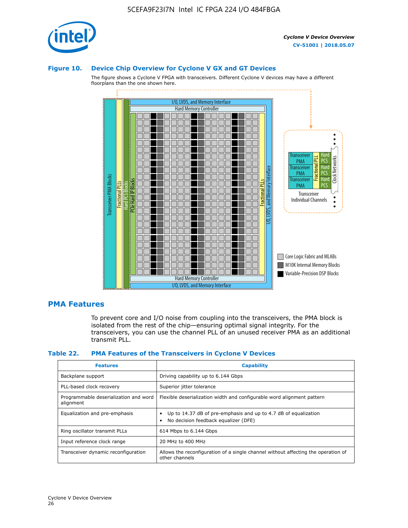

#### **Figure 10. Device Chip Overview for Cyclone V GX and GT Devices**

The figure shows a Cyclone V FPGA with transceivers. Different Cyclone V devices may have a different floorplans than the one shown here.



## **PMA Features**

To prevent core and I/O noise from coupling into the transceivers, the PMA block is isolated from the rest of the chip—ensuring optimal signal integrity. For the transceivers, you can use the channel PLL of an unused receiver PMA as an additional transmit PLL.

#### **Table 22. PMA Features of the Transceivers in Cyclone V Devices**

| <b>Features</b>                                    | <b>Capability</b>                                                                                       |
|----------------------------------------------------|---------------------------------------------------------------------------------------------------------|
| Backplane support                                  | Driving capability up to 6.144 Gbps                                                                     |
| PLL-based clock recovery                           | Superior jitter tolerance                                                                               |
| Programmable deserialization and word<br>alignment | Flexible deserialization width and configurable word alignment pattern                                  |
| Equalization and pre-emphasis                      | Up to 14.37 dB of pre-emphasis and up to 4.7 dB of equalization<br>No decision feedback equalizer (DFE) |
| Ring oscillator transmit PLLs                      | 614 Mbps to 6.144 Gbps                                                                                  |
| Input reference clock range                        | 20 MHz to 400 MHz                                                                                       |
| Transceiver dynamic reconfiguration                | Allows the reconfiguration of a single channel without affecting the operation of<br>other channels     |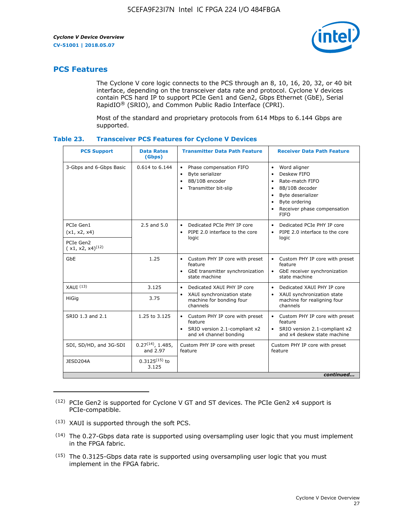

# **PCS Features**

The Cyclone V core logic connects to the PCS through an 8, 10, 16, 20, 32, or 40 bit interface, depending on the transceiver data rate and protocol. Cyclone V devices contain PCS hard IP to support PCIe Gen1 and Gen2, Gbps Ethernet (GbE), Serial RapidIO® (SRIO), and Common Public Radio Interface (CPRI).

Most of the standard and proprietary protocols from 614 Mbps to 6.144 Gbps are supported.

| Table 23. | <b>Transceiver PCS Features for Cyclone V Devices</b> |  |  |  |
|-----------|-------------------------------------------------------|--|--|--|
|-----------|-------------------------------------------------------|--|--|--|

| <b>PCS Support</b>                 | <b>Data Rates</b><br>(Gbps)        | <b>Transmitter Data Path Feature</b>                                                                           | <b>Receiver Data Path Feature</b>                                                                                                                                                                                                  |  |  |
|------------------------------------|------------------------------------|----------------------------------------------------------------------------------------------------------------|------------------------------------------------------------------------------------------------------------------------------------------------------------------------------------------------------------------------------------|--|--|
| 3-Gbps and 6-Gbps Basic            | $0.614$ to $6.144$                 | Phase compensation FIFO<br>$\bullet$<br>Byte serializer<br>$\bullet$<br>8B/10B encoder<br>Transmitter bit-slip | Word aligner<br>$\bullet$<br>Deskew FIFO<br>$\bullet$<br>Rate-match FIFO<br>$\bullet$<br>8B/10B decoder<br>$\bullet$<br>Byte deserializer<br>$\bullet$<br>Byte ordering<br>$\bullet$<br>Receiver phase compensation<br><b>FIFO</b> |  |  |
| PCIe Gen1<br>(x1, x2, x4)          | 2.5 and 5.0                        | Dedicated PCIe PHY IP core<br>$\bullet$<br>PIPE 2.0 interface to the core<br>$\bullet$<br>logic                | Dedicated PCIe PHY IP core<br>$\bullet$<br>PIPE 2.0 interface to the core<br>$\bullet$<br>logic                                                                                                                                    |  |  |
| PCIe Gen2<br>$(x1, x2, x4)^{(12)}$ |                                    |                                                                                                                |                                                                                                                                                                                                                                    |  |  |
| GbE                                | 1.25                               | • Custom PHY IP core with preset<br>feature<br>GbE transmitter synchronization<br>$\bullet$<br>state machine   | • Custom PHY IP core with preset<br>feature<br>GbE receiver synchronization<br>state machine                                                                                                                                       |  |  |
| XAUI <sup>(13)</sup>               | 3.125                              | Dedicated XAUI PHY IP core<br>$\bullet$                                                                        | Dedicated XAUI PHY IP core<br>$\bullet$                                                                                                                                                                                            |  |  |
| HiGig                              | 3.75                               | XAUI synchronization state<br>machine for bonding four<br>channels                                             | XAUI synchronization state<br>$\bullet$<br>machine for realigning four<br>channels                                                                                                                                                 |  |  |
| SRIO 1.3 and 2.1                   | 1.25 to 3.125                      | • Custom PHY IP core with preset<br>feature<br>• SRIO version 2.1-compliant x2<br>and x4 channel bonding       | • Custom PHY IP core with preset<br>feature<br>• SRIO version 2.1-compliant x2<br>and x4 deskew state machine                                                                                                                      |  |  |
| SDI, SD/HD, and 3G-SDI             | $0.27^{(14)}$ , 1.485,<br>and 2.97 | Custom PHY IP core with preset<br>feature                                                                      | Custom PHY IP core with preset<br>feature                                                                                                                                                                                          |  |  |
| JESD204A                           | $0.3125^{(15)}$ to<br>3.125        |                                                                                                                |                                                                                                                                                                                                                                    |  |  |
| continued                          |                                    |                                                                                                                |                                                                                                                                                                                                                                    |  |  |

<sup>(12)</sup> PCIe Gen2 is supported for Cyclone V GT and ST devices. The PCIe Gen2 x4 support is PCIe-compatible.

<sup>(13)</sup> XAUI is supported through the soft PCS.

<sup>(14)</sup> The 0.27-Gbps data rate is supported using oversampling user logic that you must implement in the FPGA fabric.

<sup>(15)</sup> The 0.3125-Gbps data rate is supported using oversampling user logic that you must implement in the FPGA fabric.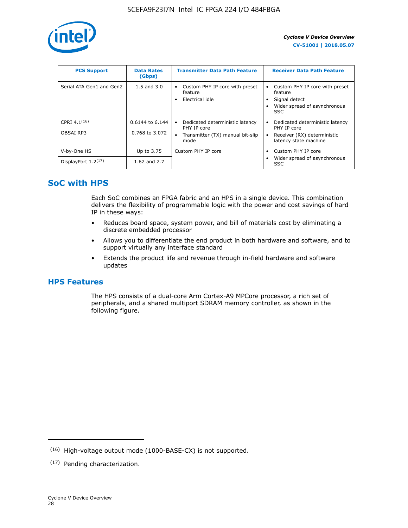

| <b>PCS Support</b>       | <b>Data Rates</b><br>(Gbps) | <b>Transmitter Data Path Feature</b>                         | <b>Receiver Data Path Feature</b>                                                                        |
|--------------------------|-----------------------------|--------------------------------------------------------------|----------------------------------------------------------------------------------------------------------|
| Serial ATA Gen1 and Gen2 | $1.5$ and $3.0$             | Custom PHY IP core with preset<br>feature<br>Electrical idle | Custom PHY IP core with preset<br>feature<br>Signal detect<br>Wider spread of asynchronous<br><b>SSC</b> |
| CPRI 4.1 $(16)$          | $0.6144$ to 6.144           | Dedicated deterministic latency<br>$\bullet$<br>PHY IP core  | Dedicated deterministic latency<br>PHY IP core                                                           |
| OBSAI RP3                | 0.768 to 3.072              | Transmitter (TX) manual bit-slip<br>mode                     | Receiver (RX) deterministic<br>latency state machine                                                     |
| V-by-One HS              | Up to 3.75                  | Custom PHY IP core                                           | Custom PHY IP core                                                                                       |
| DisplayPort $1.2^{(17)}$ | 1.62 and 2.7                |                                                              | Wider spread of asynchronous<br><b>SSC</b>                                                               |

# **SoC with HPS**

Each SoC combines an FPGA fabric and an HPS in a single device. This combination delivers the flexibility of programmable logic with the power and cost savings of hard IP in these ways:

- Reduces board space, system power, and bill of materials cost by eliminating a discrete embedded processor
- Allows you to differentiate the end product in both hardware and software, and to support virtually any interface standard
- Extends the product life and revenue through in-field hardware and software updates

# **HPS Features**

The HPS consists of a dual-core Arm Cortex-A9 MPCore processor, a rich set of peripherals, and a shared multiport SDRAM memory controller, as shown in the following figure.

<sup>(16)</sup> High-voltage output mode (1000-BASE-CX) is not supported.

<sup>(17)</sup> Pending characterization.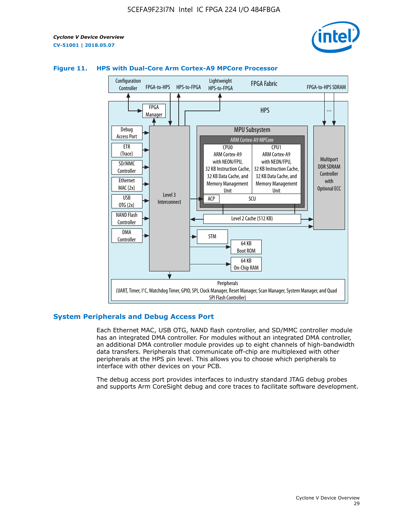



## **Figure 11. HPS with Dual-Core Arm Cortex-A9 MPCore Processor**

## **System Peripherals and Debug Access Port**

Each Ethernet MAC, USB OTG, NAND flash controller, and SD/MMC controller module has an integrated DMA controller. For modules without an integrated DMA controller, an additional DMA controller module provides up to eight channels of high-bandwidth data transfers. Peripherals that communicate off-chip are multiplexed with other peripherals at the HPS pin level. This allows you to choose which peripherals to interface with other devices on your PCB.

The debug access port provides interfaces to industry standard JTAG debug probes and supports Arm CoreSight debug and core traces to facilitate software development.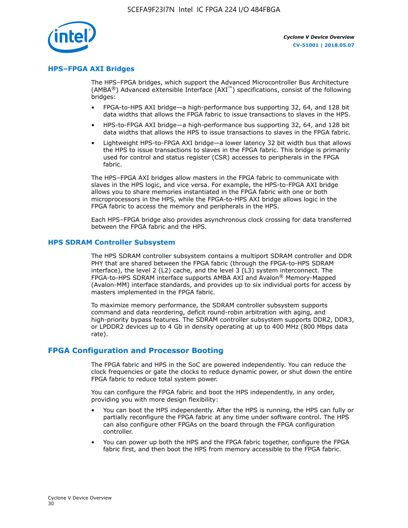

## **HPS–FPGA AXI Bridges**

The HPS–FPGA bridges, which support the Advanced Microcontroller Bus Architecture (AMBA<sup>®</sup>) Advanced eXtensible Interface (AXI<sup>™</sup>) specifications, consist of the following bridges:

- FPGA-to-HPS AXI bridge—a high-performance bus supporting 32, 64, and 128 bit data widths that allows the FPGA fabric to issue transactions to slaves in the HPS.
- HPS-to-FPGA AXI bridge—a high-performance bus supporting 32, 64, and 128 bit data widths that allows the HPS to issue transactions to slaves in the FPGA fabric.
- Lightweight HPS-to-FPGA AXI bridge—a lower latency 32 bit width bus that allows the HPS to issue transactions to slaves in the FPGA fabric. This bridge is primarily used for control and status register (CSR) accesses to peripherals in the FPGA fabric.

The HPS–FPGA AXI bridges allow masters in the FPGA fabric to communicate with slaves in the HPS logic, and vice versa. For example, the HPS-to-FPGA AXI bridge allows you to share memories instantiated in the FPGA fabric with one or both microprocessors in the HPS, while the FPGA-to-HPS AXI bridge allows logic in the FPGA fabric to access the memory and peripherals in the HPS.

Each HPS–FPGA bridge also provides asynchronous clock crossing for data transferred between the FPGA fabric and the HPS.

## **HPS SDRAM Controller Subsystem**

The HPS SDRAM controller subsystem contains a multiport SDRAM controller and DDR PHY that are shared between the FPGA fabric (through the FPGA-to-HPS SDRAM interface), the level 2 (L2) cache, and the level 3 (L3) system interconnect. The FPGA-to-HPS SDRAM interface supports AMBA AXI and Avalon® Memory-Mapped (Avalon-MM) interface standards, and provides up to six individual ports for access by masters implemented in the FPGA fabric.

To maximize memory performance, the SDRAM controller subsystem supports command and data reordering, deficit round-robin arbitration with aging, and high-priority bypass features. The SDRAM controller subsystem supports DDR2, DDR3, or LPDDR2 devices up to 4 Gb in density operating at up to 400 MHz (800 Mbps data rate).

## **FPGA Configuration and Processor Booting**

The FPGA fabric and HPS in the SoC are powered independently. You can reduce the clock frequencies or gate the clocks to reduce dynamic power, or shut down the entire FPGA fabric to reduce total system power.

You can configure the FPGA fabric and boot the HPS independently, in any order, providing you with more design flexibility:

- You can boot the HPS independently. After the HPS is running, the HPS can fully or partially reconfigure the FPGA fabric at any time under software control. The HPS can also configure other FPGAs on the board through the FPGA configuration controller.
- You can power up both the HPS and the FPGA fabric together, configure the FPGA fabric first, and then boot the HPS from memory accessible to the FPGA fabric.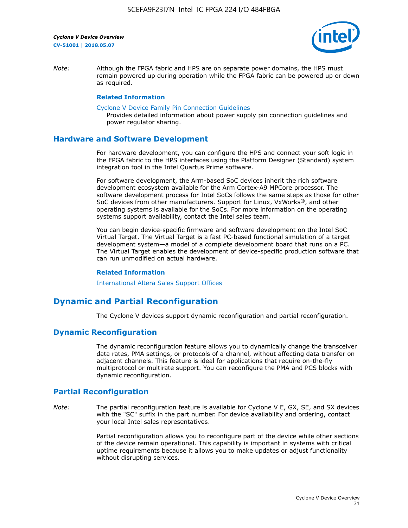

*Note:* Although the FPGA fabric and HPS are on separate power domains, the HPS must remain powered up during operation while the FPGA fabric can be powered up or down as required.

#### **Related Information**

[Cyclone V Device Family Pin Connection Guidelines](https://www.altera.com/content/dam/altera-www/global/en_US/pdfs/literature/dp/cyclone-v/pcg-01014.pdf)

Provides detailed information about power supply pin connection guidelines and power regulator sharing.

## **Hardware and Software Development**

For hardware development, you can configure the HPS and connect your soft logic in the FPGA fabric to the HPS interfaces using the Platform Designer (Standard) system integration tool in the Intel Quartus Prime software.

For software development, the Arm-based SoC devices inherit the rich software development ecosystem available for the Arm Cortex-A9 MPCore processor. The software development process for Intel SoCs follows the same steps as those for other SoC devices from other manufacturers. Support for Linux, VxWorks®, and other operating systems is available for the SoCs. For more information on the operating systems support availability, contact the Intel sales team.

You can begin device-specific firmware and software development on the Intel SoC Virtual Target. The Virtual Target is a fast PC-based functional simulation of a target development system—a model of a complete development board that runs on a PC. The Virtual Target enables the development of device-specific production software that can run unmodified on actual hardware.

#### **Related Information**

[International Altera Sales Support Offices](https://www.altera.com/about/contact/contact/international-altera-sales-offices.html)

# **Dynamic and Partial Reconfiguration**

The Cyclone V devices support dynamic reconfiguration and partial reconfiguration.

## **Dynamic Reconfiguration**

The dynamic reconfiguration feature allows you to dynamically change the transceiver data rates, PMA settings, or protocols of a channel, without affecting data transfer on adjacent channels. This feature is ideal for applications that require on-the-fly multiprotocol or multirate support. You can reconfigure the PMA and PCS blocks with dynamic reconfiguration.

# **Partial Reconfiguration**

*Note:* The partial reconfiguration feature is available for Cyclone V E, GX, SE, and SX devices with the "SC" suffix in the part number. For device availability and ordering, contact your local Intel sales representatives.

> Partial reconfiguration allows you to reconfigure part of the device while other sections of the device remain operational. This capability is important in systems with critical uptime requirements because it allows you to make updates or adjust functionality without disrupting services.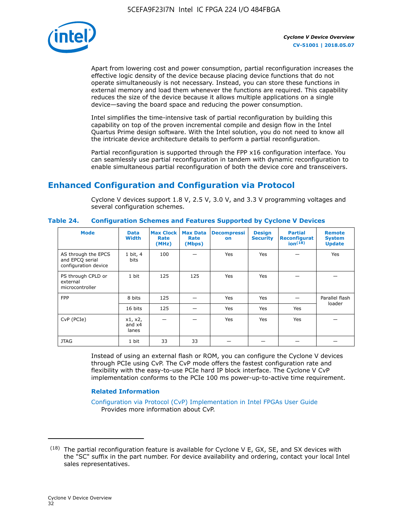

Apart from lowering cost and power consumption, partial reconfiguration increases the effective logic density of the device because placing device functions that do not operate simultaneously is not necessary. Instead, you can store these functions in external memory and load them whenever the functions are required. This capability reduces the size of the device because it allows multiple applications on a single device—saving the board space and reducing the power consumption.

Intel simplifies the time-intensive task of partial reconfiguration by building this capability on top of the proven incremental compile and design flow in the Intel Quartus Prime design software. With the Intel solution, you do not need to know all the intricate device architecture details to perform a partial reconfiguration.

Partial reconfiguration is supported through the FPP x16 configuration interface. You can seamlessly use partial reconfiguration in tandem with dynamic reconfiguration to enable simultaneous partial reconfiguration of both the device core and transceivers.

# **Enhanced Configuration and Configuration via Protocol**

Cyclone V devices support 1.8 V, 2.5 V, 3.0 V, and 3.3 V programming voltages and several configuration schemes.

| <b>Mode</b>                                                    | <b>Data</b><br>Width         | Max Clock  <br>Rate<br>(MHz) | <b>Max Data</b><br>Rate<br>(Mbps) | <b>Decompressi</b><br>on | <b>Design</b><br><b>Security</b> | <b>Partial</b><br>Reconfigurat<br>ion <sup>(18)</sup> | <b>Remote</b><br><b>System</b><br><b>Update</b> |
|----------------------------------------------------------------|------------------------------|------------------------------|-----------------------------------|--------------------------|----------------------------------|-------------------------------------------------------|-------------------------------------------------|
| AS through the EPCS<br>and EPCQ serial<br>configuration device | 1 bit, 4<br>bits             | 100                          |                                   | Yes                      | <b>Yes</b>                       |                                                       | Yes                                             |
| PS through CPLD or<br>external<br>microcontroller              | 1 bit                        | 125                          | 125                               | Yes                      | Yes                              |                                                       |                                                 |
| <b>FPP</b>                                                     | 8 bits                       | 125                          |                                   | Yes                      | <b>Yes</b>                       |                                                       | Parallel flash                                  |
|                                                                | 16 bits                      | 125                          |                                   | Yes                      | <b>Yes</b>                       | Yes                                                   | loader                                          |
| CvP (PCIe)                                                     | x1, x2,<br>and $x4$<br>lanes |                              |                                   | Yes                      | <b>Yes</b>                       | Yes                                                   |                                                 |
| <b>JTAG</b>                                                    | 1 bit                        | 33                           | 33                                |                          |                                  |                                                       |                                                 |

**Table 24. Configuration Schemes and Features Supported by Cyclone V Devices**

Instead of using an external flash or ROM, you can configure the Cyclone V devices through PCIe using CvP. The CvP mode offers the fastest configuration rate and flexibility with the easy-to-use PCIe hard IP block interface. The Cyclone V CvP implementation conforms to the PCIe 100 ms power-up-to-active time requirement.

## **Related Information**

[Configuration via Protocol \(CvP\) Implementation in Intel FPGAs User Guide](https://www.altera.com/documentation/nik1412546950394.html#nik1412546833714) Provides more information about CvP.

 $(18)$  The partial reconfiguration feature is available for Cyclone V E, GX, SE, and SX devices with the "SC" suffix in the part number. For device availability and ordering, contact your local Intel sales representatives.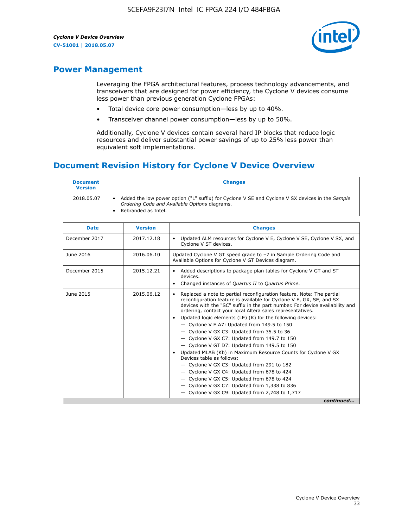

# **Power Management**

Leveraging the FPGA architectural features, process technology advancements, and transceivers that are designed for power efficiency, the Cyclone V devices consume less power than previous generation Cyclone FPGAs:

- Total device core power consumption—less by up to 40%.
- Transceiver channel power consumption—less by up to 50%.

Additionally, Cyclone V devices contain several hard IP blocks that reduce logic resources and deliver substantial power savings of up to 25% less power than equivalent soft implementations.

# **Document Revision History for Cyclone V Device Overview**

| <b>Document</b><br><b>Version</b> | <b>Changes</b>                                                                                                                                                          |
|-----------------------------------|-------------------------------------------------------------------------------------------------------------------------------------------------------------------------|
| 2018.05.07                        | Added the low power option ("L" suffix) for Cyclone V SE and Cyclone V SX devices in the Sample<br>Ordering Code and Available Options diagrams.<br>Rebranded as Intel. |

| <b>Date</b>   | <b>Version</b> | <b>Changes</b>                                                                                                                                                                                                                                                                                                                                                                                                                                                                                                                                                                                                                                                                                                                                                                                                                                                                                                  |
|---------------|----------------|-----------------------------------------------------------------------------------------------------------------------------------------------------------------------------------------------------------------------------------------------------------------------------------------------------------------------------------------------------------------------------------------------------------------------------------------------------------------------------------------------------------------------------------------------------------------------------------------------------------------------------------------------------------------------------------------------------------------------------------------------------------------------------------------------------------------------------------------------------------------------------------------------------------------|
| December 2017 | 2017.12.18     | Updated ALM resources for Cyclone V E, Cyclone V SE, Cyclone V SX, and<br>Cyclone V ST devices.                                                                                                                                                                                                                                                                                                                                                                                                                                                                                                                                                                                                                                                                                                                                                                                                                 |
| June 2016     | 2016.06.10     | Updated Cyclone V GT speed grade to -7 in Sample Ordering Code and<br>Available Options for Cyclone V GT Devices diagram.                                                                                                                                                                                                                                                                                                                                                                                                                                                                                                                                                                                                                                                                                                                                                                                       |
| December 2015 | 2015.12.21     | Added descriptions to package plan tables for Cyclone V GT and ST<br>devices.<br>Changed instances of Quartus II to Quartus Prime.                                                                                                                                                                                                                                                                                                                                                                                                                                                                                                                                                                                                                                                                                                                                                                              |
| June 2015     | 2015.06.12     | Replaced a note to partial reconfiguration feature. Note: The partial<br>reconfiguration feature is available for Cyclone V E, GX, SE, and SX<br>devices with the "SC" suffix in the part number. For device availability and<br>ordering, contact your local Altera sales representatives.<br>Updated logic elements (LE) (K) for the following devices:<br>$\bullet$<br>- Cyclone V E A7: Updated from 149.5 to 150<br>- Cyclone V GX C3: Updated from 35.5 to 36<br>- Cyclone V GX C7: Updated from 149.7 to 150<br>- Cyclone V GT D7: Updated from 149.5 to 150<br>Updated MLAB (Kb) in Maximum Resource Counts for Cyclone V GX<br>Devices table as follows:<br>- Cyclone V GX C3: Updated from 291 to 182<br>- Cyclone V GX C4: Updated from 678 to 424<br>- Cyclone V GX C5: Updated from 678 to 424<br>- Cyclone V GX C7: Updated from 1,338 to 836<br>$-$ Cyclone V GX C9: Updated from 2,748 to 1,717 |
|               |                | continued                                                                                                                                                                                                                                                                                                                                                                                                                                                                                                                                                                                                                                                                                                                                                                                                                                                                                                       |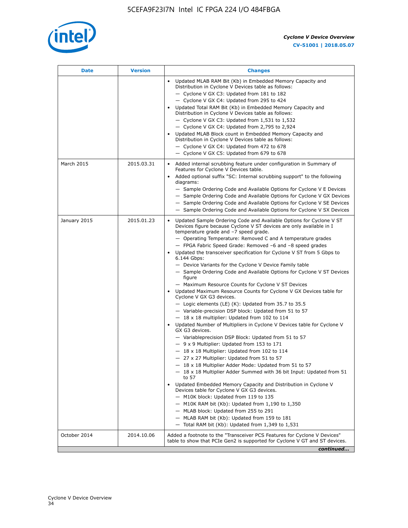

| Date         | <b>Version</b> | <b>Changes</b>                                                                                                                                                                                                                                                                                                                                                                                                                                                                                                                                                                                                                                                                                                                                                                                                                                                                                                                                                                                                                                                                                                                                                                                                                                                                                                                                                                                                                                                                                                                                                                                                                                                                                                  |
|--------------|----------------|-----------------------------------------------------------------------------------------------------------------------------------------------------------------------------------------------------------------------------------------------------------------------------------------------------------------------------------------------------------------------------------------------------------------------------------------------------------------------------------------------------------------------------------------------------------------------------------------------------------------------------------------------------------------------------------------------------------------------------------------------------------------------------------------------------------------------------------------------------------------------------------------------------------------------------------------------------------------------------------------------------------------------------------------------------------------------------------------------------------------------------------------------------------------------------------------------------------------------------------------------------------------------------------------------------------------------------------------------------------------------------------------------------------------------------------------------------------------------------------------------------------------------------------------------------------------------------------------------------------------------------------------------------------------------------------------------------------------|
|              |                | Updated MLAB RAM Bit (Kb) in Embedded Memory Capacity and<br>Distribution in Cyclone V Devices table as follows:<br>- Cyclone V GX C3: Updated from 181 to 182<br>- Cyclone V GX C4: Updated from 295 to 424<br>Updated Total RAM Bit (Kb) in Embedded Memory Capacity and<br>Distribution in Cyclone V Devices table as follows:<br>$-$ Cyclone V GX C3: Updated from 1,531 to 1,532<br>- Cyclone V GX C4: Updated from 2,795 to 2,924<br>Updated MLAB Block count in Embedded Memory Capacity and<br>Distribution in Cyclone V Devices table as follows:<br>- Cyclone V GX C4: Updated from 472 to 678<br>- Cyclone V GX C5: Updated from 679 to 678                                                                                                                                                                                                                                                                                                                                                                                                                                                                                                                                                                                                                                                                                                                                                                                                                                                                                                                                                                                                                                                          |
| March 2015   | 2015.03.31     | Added internal scrubbing feature under configuration in Summary of<br>Features for Cyclone V Devices table.<br>Added optional suffix "SC: Internal scrubbing support" to the following<br>diagrams:<br>- Sample Ordering Code and Available Options for Cyclone V E Devices<br>- Sample Ordering Code and Available Options for Cyclone V GX Devices<br>- Sample Ordering Code and Available Options for Cyclone V SE Devices<br>- Sample Ordering Code and Available Options for Cyclone V SX Devices                                                                                                                                                                                                                                                                                                                                                                                                                                                                                                                                                                                                                                                                                                                                                                                                                                                                                                                                                                                                                                                                                                                                                                                                          |
| January 2015 | 2015.01.23     | Updated Sample Ordering Code and Available Options for Cyclone V ST<br>Devices figure because Cyclone V ST devices are only available in I<br>temperature grade and -7 speed grade.<br>- Operating Temperature: Removed C and A temperature grades<br>- FPGA Fabric Speed Grade: Removed -6 and -8 speed grades<br>Updated the transceiver specification for Cyclone V ST from 5 Gbps to<br>6.144 Gbps:<br>- Device Variants for the Cyclone V Device Family table<br>- Sample Ordering Code and Available Options for Cyclone V ST Devices<br>figure<br>- Maximum Resource Counts for Cyclone V ST Devices<br>• Updated Maximum Resource Counts for Cyclone V GX Devices table for<br>Cyclone V GX G3 devices.<br>$-$ Logic elements (LE) (K): Updated from 35.7 to 35.5<br>- Variable-precision DSP block: Updated from 51 to 57<br>$-18 \times 18$ multiplier: Updated from 102 to 114<br>Updated Number of Multipliers in Cyclone V Devices table for Cyclone V<br>GX G3 devices.<br>- Variableprecision DSP Block: Updated from 51 to 57<br>$-9x9$ Multiplier: Updated from 153 to 171<br>$-18 \times 18$ Multiplier: Updated from 102 to 114<br>- 27 x 27 Multiplier: Updated from 51 to 57<br>18 x 18 Multiplier Adder Mode: Updated from 51 to 57<br>$-18 \times 18$ Multiplier Adder Summed with 36 bit Input: Updated from 51<br>to 57<br>Updated Embedded Memory Capacity and Distribution in Cyclone V<br>Devices table for Cyclone V GX G3 devices.<br>- M10K block: Updated from 119 to 135<br>$-$ M10K RAM bit (Kb): Updated from 1,190 to 1,350<br>- MLAB block: Updated from 255 to 291<br>- MLAB RAM bit (Kb): Updated from 159 to 181<br>$-$ Total RAM bit (Kb): Updated from 1,349 to 1,531 |
| October 2014 | 2014.10.06     | Added a footnote to the "Transceiver PCS Features for Cyclone V Devices"<br>table to show that PCIe Gen2 is supported for Cyclone V GT and ST devices.                                                                                                                                                                                                                                                                                                                                                                                                                                                                                                                                                                                                                                                                                                                                                                                                                                                                                                                                                                                                                                                                                                                                                                                                                                                                                                                                                                                                                                                                                                                                                          |
|              |                | continued                                                                                                                                                                                                                                                                                                                                                                                                                                                                                                                                                                                                                                                                                                                                                                                                                                                                                                                                                                                                                                                                                                                                                                                                                                                                                                                                                                                                                                                                                                                                                                                                                                                                                                       |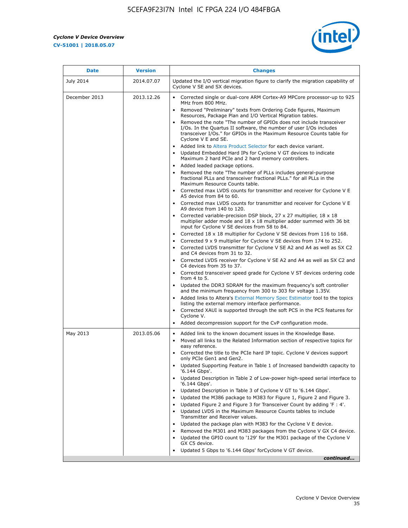r



| <b>Date</b>      | <b>Version</b> | <b>Changes</b>                                                                                                                                                                                                                                                                                                                                                                                                                                                                                                                                                                                                                                                                                                                                                                                                                                                                                                                                                                                                                                                                                                                                                                                                                                                                                                                                                                                                                                      |
|------------------|----------------|-----------------------------------------------------------------------------------------------------------------------------------------------------------------------------------------------------------------------------------------------------------------------------------------------------------------------------------------------------------------------------------------------------------------------------------------------------------------------------------------------------------------------------------------------------------------------------------------------------------------------------------------------------------------------------------------------------------------------------------------------------------------------------------------------------------------------------------------------------------------------------------------------------------------------------------------------------------------------------------------------------------------------------------------------------------------------------------------------------------------------------------------------------------------------------------------------------------------------------------------------------------------------------------------------------------------------------------------------------------------------------------------------------------------------------------------------------|
| <b>July 2014</b> | 2014.07.07     | Updated the I/O vertical migration figure to clarify the migration capability of<br>Cyclone V SE and SX devices.                                                                                                                                                                                                                                                                                                                                                                                                                                                                                                                                                                                                                                                                                                                                                                                                                                                                                                                                                                                                                                                                                                                                                                                                                                                                                                                                    |
| December 2013    | 2013.12.26     | • Corrected single or dual-core ARM Cortex-A9 MPCore processor-up to 925<br>MHz from 800 MHz.<br>Removed "Preliminary" texts from Ordering Code figures, Maximum<br>$\bullet$<br>Resources, Package Plan and I/O Vertical Migration tables.<br>Removed the note "The number of GPIOs does not include transceiver<br>I/Os. In the Quartus II software, the number of user I/Os includes<br>transceiver I/Os." for GPIOs in the Maximum Resource Counts table for<br>Cyclone V E and SE.<br>Added link to Altera Product Selector for each device variant.<br>• Updated Embedded Hard IPs for Cyclone V GT devices to indicate<br>Maximum 2 hard PCIe and 2 hard memory controllers.<br>• Added leaded package options.<br>Removed the note "The number of PLLs includes general-purpose                                                                                                                                                                                                                                                                                                                                                                                                                                                                                                                                                                                                                                                             |
|                  |                | fractional PLLs and transceiver fractional PLLs." for all PLLs in the<br>Maximum Resource Counts table.<br>• Corrected max LVDS counts for transmitter and receiver for Cyclone V E<br>A5 device from 84 to 60.<br>• Corrected max LVDS counts for transmitter and receiver for Cyclone V E<br>A9 device from 140 to 120.<br>Corrected variable-precision DSP block, 27 x 27 multiplier, 18 x 18<br>multiplier adder mode and $18 \times 18$ multiplier adder summed with 36 bit<br>input for Cyclone V SE devices from 58 to 84.<br>Corrected 18 x 18 multiplier for Cyclone V SE devices from 116 to 168.<br>Corrected 9 x 9 multiplier for Cyclone V SE devices from 174 to 252.<br>Corrected LVDS transmitter for Cyclone V SE A2 and A4 as well as SX C2<br>and C4 devices from 31 to 32.<br>• Corrected LVDS receiver for Cyclone V SE A2 and A4 as well as SX C2 and<br>C4 devices from 35 to 37.<br>• Corrected transceiver speed grade for Cyclone V ST devices ordering code<br>from $4$ to $5$ .<br>• Updated the DDR3 SDRAM for the maximum frequency's soft controller<br>and the minimum frequency from 300 to 303 for voltage 1.35V.<br>• Added links to Altera's External Memory Spec Estimator tool to the topics<br>listing the external memory interface performance.<br>• Corrected XAUI is supported through the soft PCS in the PCS features for<br>Cyclone V.<br>Added decompression support for the CvP configuration mode. |
| May 2013         | 2013.05.06     | Added link to the known document issues in the Knowledge Base.<br>$\bullet$<br>Moved all links to the Related Information section of respective topics for<br>$\bullet$<br>easy reference.<br>• Corrected the title to the PCIe hard IP topic. Cyclone V devices support<br>only PCIe Gen1 and Gen2.<br>Updated Supporting Feature in Table 1 of Increased bandwidth capacity to<br>$\bullet$<br>'6.144 Gbps'.<br>Updated Description in Table 2 of Low-power high-speed serial interface to<br>'6.144 Gbps'.<br>Updated Description in Table 3 of Cyclone V GT to '6.144 Gbps'.<br>Updated the M386 package to M383 for Figure 1, Figure 2 and Figure 3.<br>$\bullet$<br>Updated Figure 2 and Figure 3 for Transceiver Count by adding 'F : 4'.<br>$\bullet$<br>Updated LVDS in the Maximum Resource Counts tables to include<br>Transmitter and Receiver values.<br>Updated the package plan with M383 for the Cyclone V E device.<br>$\bullet$<br>Removed the M301 and M383 packages from the Cyclone V GX C4 device.<br>Updated the GPIO count to '129' for the M301 package of the Cyclone V<br>GX C5 device.<br>Updated 5 Gbps to '6.144 Gbps' for Cyclone V GT device.<br>continued                                                                                                                                                                                                                                                          |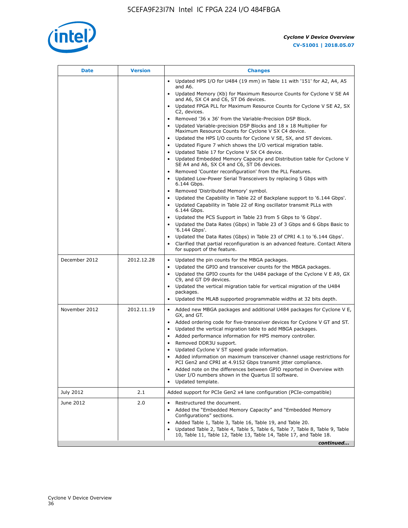

| Date          | <b>Version</b> | <b>Changes</b>                                                                                                                                      |
|---------------|----------------|-----------------------------------------------------------------------------------------------------------------------------------------------------|
|               |                | • Updated HPS I/O for U484 (19 mm) in Table 11 with '151' for A2, A4, A5<br>and A6.                                                                 |
|               |                | Updated Memory (Kb) for Maximum Resource Counts for Cyclone V SE A4<br>and A6, SX C4 and C6, ST D6 devices.                                         |
|               |                | Updated FPGA PLL for Maximum Resource Counts for Cyclone V SE A2, SX<br>C2, devices.                                                                |
|               |                | Removed '36 x 36' from the Variable-Precision DSP Block.                                                                                            |
|               |                | Updated Variable-precision DSP Blocks and 18 x 18 Multiplier for<br>Maximum Resource Counts for Cyclone V SX C4 device.                             |
|               |                | • Updated the HPS I/O counts for Cyclone V SE, SX, and ST devices.                                                                                  |
|               |                | Updated Figure 7 which shows the I/O vertical migration table.<br>Updated Table 17 for Cyclone V SX C4 device.                                      |
|               |                | Updated Embedded Memory Capacity and Distribution table for Cyclone V<br>$\bullet$                                                                  |
|               |                | SE A4 and A6, SX C4 and C6, ST D6 devices.                                                                                                          |
|               |                | Removed 'Counter reconfiguration' from the PLL Features.                                                                                            |
|               |                | Updated Low-Power Serial Transceivers by replacing 5 Gbps with<br>6.144 Gbps.                                                                       |
|               |                | Removed 'Distributed Memory' symbol.<br>$\bullet$                                                                                                   |
|               |                | Updated the Capability in Table 22 of Backplane support to '6.144 Gbps'.<br>• Updated Capability in Table 22 of Ring oscillator transmit PLLs with  |
|               |                | 6.144 Gbps.                                                                                                                                         |
|               |                | Updated the PCS Support in Table 23 from 5 Gbps to '6 Gbps'.                                                                                        |
|               |                | Updated the Data Rates (Gbps) in Table 23 of 3 Gbps and 6 Gbps Basic to<br>'6.144 Gbps'.                                                            |
|               |                | • Updated the Data Rates (Gbps) in Table 23 of CPRI 4.1 to '6.144 Gbps'.                                                                            |
|               |                | Clarified that partial reconfiguration is an advanced feature. Contact Altera<br>for support of the feature.                                        |
| December 2012 | 2012.12.28     | Updated the pin counts for the MBGA packages.<br>$\bullet$                                                                                          |
|               |                | Updated the GPIO and transceiver counts for the MBGA packages.<br>٠                                                                                 |
|               |                | Updated the GPIO counts for the U484 package of the Cyclone V E A9, GX<br>C9, and GT D9 devices.                                                    |
|               |                | • Updated the vertical migration table for vertical migration of the U484                                                                           |
|               |                | packages.                                                                                                                                           |
|               |                | Updated the MLAB supported programmable widths at 32 bits depth.                                                                                    |
| November 2012 | 2012.11.19     | • Added new MBGA packages and additional U484 packages for Cyclone V E,<br>GX, and GT.                                                              |
|               |                | • Added ordering code for five-transceiver devices for Cyclone V GT and ST.                                                                         |
|               |                | Updated the vertical migration table to add MBGA packages.                                                                                          |
|               |                | Added performance information for HPS memory controller.<br>$\bullet$                                                                               |
|               |                | Removed DDR3U support.<br>$\bullet$                                                                                                                 |
|               |                | Updated Cyclone V ST speed grade information.<br>Added information on maximum transceiver channel usage restrictions for                            |
|               |                | PCI Gen2 and CPRI at 4.9152 Gbps transmit jitter compliance.                                                                                        |
|               |                | Added note on the differences between GPIO reported in Overview with                                                                                |
|               |                | User I/O numbers shown in the Quartus II software.<br>Updated template.                                                                             |
| July 2012     | 2.1            | Added support for PCIe Gen2 x4 lane configuration (PCIe-compatible)                                                                                 |
| June 2012     | 2.0            | Restructured the document.                                                                                                                          |
|               |                | Added the "Embedded Memory Capacity" and "Embedded Memory<br>Configurations" sections.                                                              |
|               |                | Added Table 1, Table 3, Table 16, Table 19, and Table 20.                                                                                           |
|               |                | Updated Table 2, Table 4, Table 5, Table 6, Table 7, Table 8, Table 9, Table<br>10, Table 11, Table 12, Table 13, Table 14, Table 17, and Table 18. |
|               |                | continued                                                                                                                                           |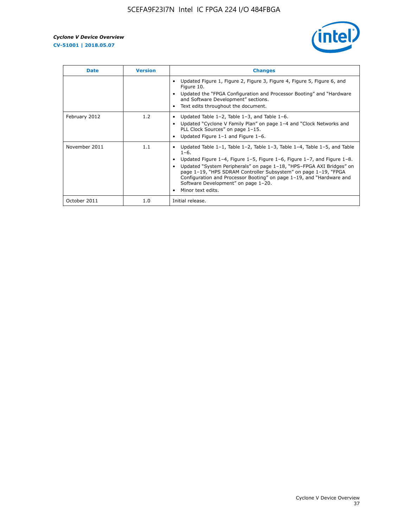

| <b>Date</b>   | <b>Version</b> | <b>Changes</b>                                                                                                                                                                                                                                                                                                                                                                                                                                                             |
|---------------|----------------|----------------------------------------------------------------------------------------------------------------------------------------------------------------------------------------------------------------------------------------------------------------------------------------------------------------------------------------------------------------------------------------------------------------------------------------------------------------------------|
|               |                | Updated Figure 1, Figure 2, Figure 3, Figure 4, Figure 5, Figure 6, and<br>Figure 10.<br>Updated the "FPGA Configuration and Processor Booting" and "Hardware<br>and Software Development" sections.<br>Text edits throughout the document.                                                                                                                                                                                                                                |
| February 2012 | 1.2            | Updated Table $1-2$ , Table $1-3$ , and Table $1-6$ .<br>Updated "Cyclone V Family Plan" on page 1-4 and "Clock Networks and<br>$\bullet$<br>PLL Clock Sources" on page 1-15.<br>Updated Figure $1-1$ and Figure $1-6$ .                                                                                                                                                                                                                                                   |
| November 2011 | 1.1            | Updated Table $1-1$ , Table $1-2$ , Table $1-3$ , Table $1-4$ , Table $1-5$ , and Table<br>$1 - 6.$<br>Updated Figure 1-4, Figure 1-5, Figure 1-6, Figure 1-7, and Figure 1-8.<br>Updated "System Peripherals" on page 1-18, "HPS-FPGA AXI Bridges" on<br>page 1-19, "HPS SDRAM Controller Subsystem" on page 1-19, "FPGA<br>Configuration and Processor Booting" on page 1-19, and "Hardware and<br>Software Development" on page 1-20.<br>Minor text edits.<br>$\bullet$ |
| October 2011  | 1.0            | Initial release.                                                                                                                                                                                                                                                                                                                                                                                                                                                           |